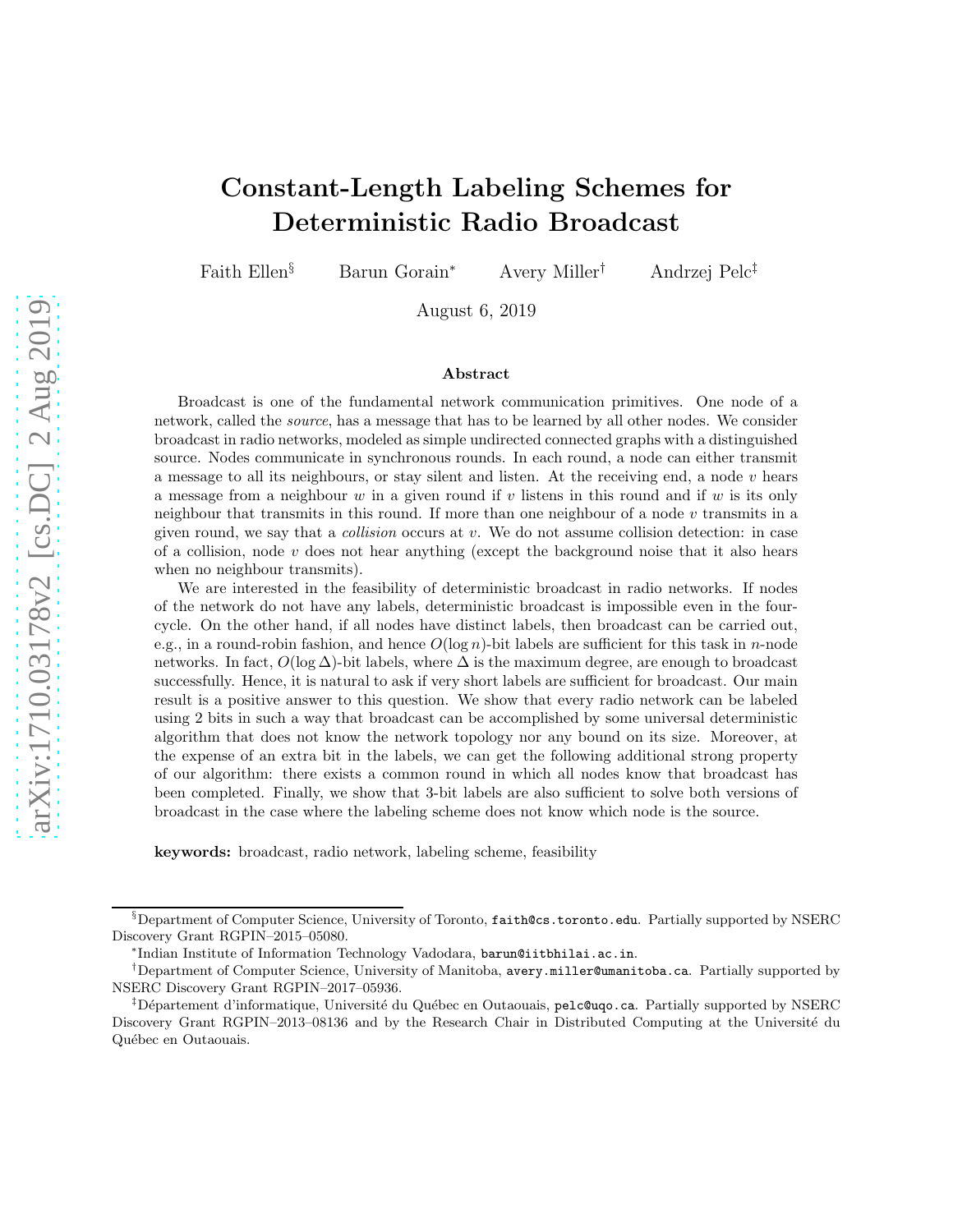# Constant-Length Labeling Schemes for Deterministic Radio Broadcast

Faith Ellen§ Barun Gorain<sup>∗</sup> Avery Miller† Andrzej Pelc‡

August 6, 2019

#### Abstract

Broadcast is one of the fundamental network communication primitives. One node of a network, called the *source*, has a message that has to be learned by all other nodes. We consider broadcast in radio networks, modeled as simple undirected connected graphs with a distinguished source. Nodes communicate in synchronous rounds. In each round, a node can either transmit a message to all its neighbours, or stay silent and listen. At the receiving end, a node  $v$  hears a message from a neighbour  $w$  in a given round if  $v$  listens in this round and if  $w$  is its only neighbour that transmits in this round. If more than one neighbour of a node  $v$  transmits in a given round, we say that a *collision* occurs at v. We do not assume collision detection: in case of a collision, node  $v$  does not hear anything (except the background noise that it also hears when no neighbour transmits).

We are interested in the feasibility of deterministic broadcast in radio networks. If nodes of the network do not have any labels, deterministic broadcast is impossible even in the fourcycle. On the other hand, if all nodes have distinct labels, then broadcast can be carried out, e.g., in a round-robin fashion, and hence  $O(\log n)$ -bit labels are sufficient for this task in n-node networks. In fact,  $O(\log \Delta)$ -bit labels, where  $\Delta$  is the maximum degree, are enough to broadcast successfully. Hence, it is natural to ask if very short labels are sufficient for broadcast. Our main result is a positive answer to this question. We show that every radio network can be labeled using 2 bits in such a way that broadcast can be accomplished by some universal deterministic algorithm that does not know the network topology nor any bound on its size. Moreover, at the expense of an extra bit in the labels, we can get the following additional strong property of our algorithm: there exists a common round in which all nodes know that broadcast has been completed. Finally, we show that 3-bit labels are also sufficient to solve both versions of broadcast in the case where the labeling scheme does not know which node is the source.

keywords: broadcast, radio network, labeling scheme, feasibility

 $\S$ Department of Computer Science, University of Toronto, faith@cs.toronto.edu. Partially supported by NSERC Discovery Grant RGPIN–2015–05080.

<sup>∗</sup> Indian Institute of Information Technology Vadodara, barun@iitbhilai.ac.in.

<sup>†</sup>Department of Computer Science, University of Manitoba, avery.miller@umanitoba.ca. Partially supported by NSERC Discovery Grant RGPIN–2017–05936.

<sup>&</sup>lt;sup>‡</sup>Département d'informatique, Université du Québec en Outaouais, pelc@uqo.ca. Partially supported by NSERC Discovery Grant RGPIN–2013–08136 and by the Research Chair in Distributed Computing at the Université du Québec en Outaouais.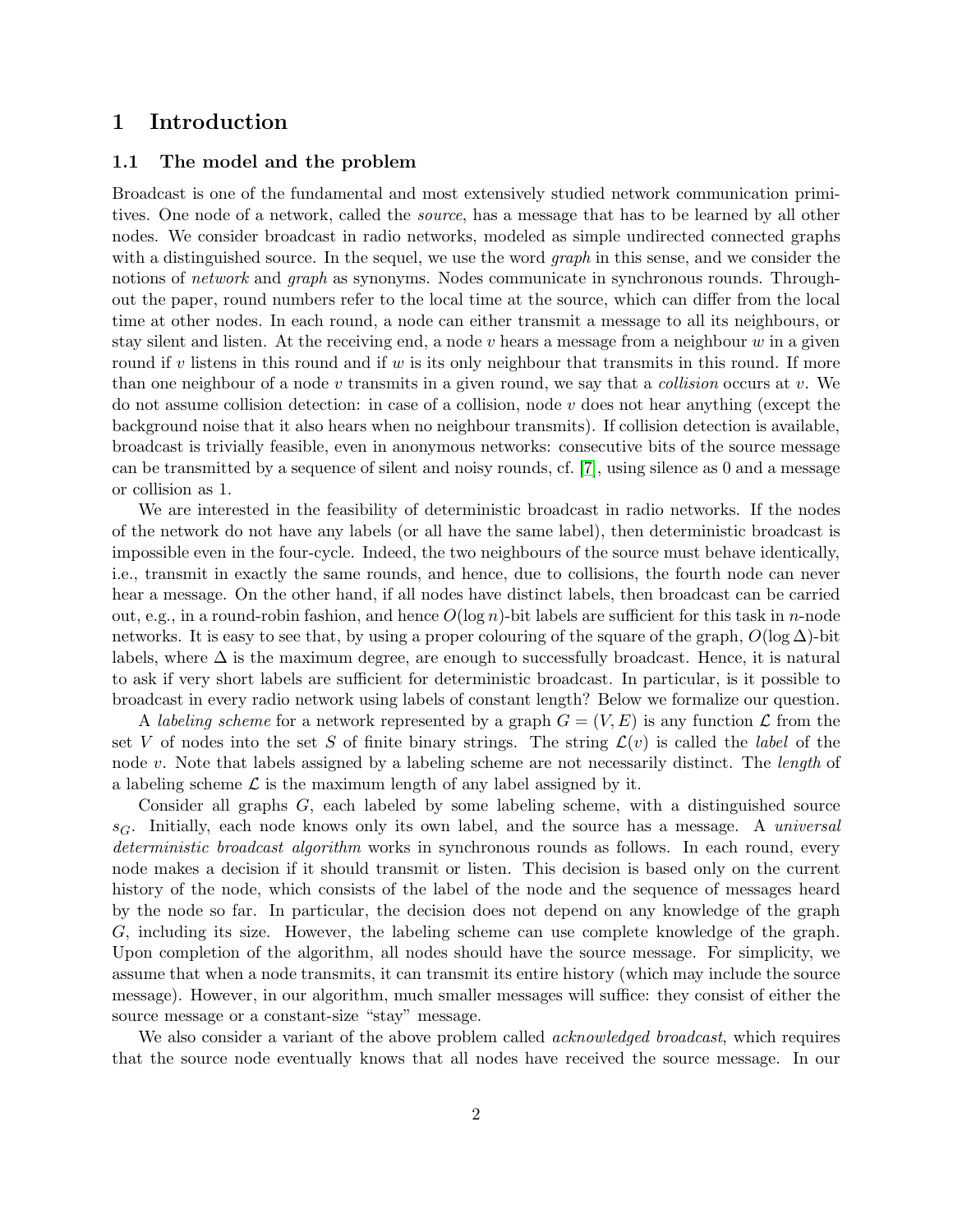### 1 Introduction

### 1.1 The model and the problem

Broadcast is one of the fundamental and most extensively studied network communication primitives. One node of a network, called the *source*, has a message that has to be learned by all other nodes. We consider broadcast in radio networks, modeled as simple undirected connected graphs with a distinguished source. In the sequel, we use the word *graph* in this sense, and we consider the notions of *network* and *graph* as synonyms. Nodes communicate in synchronous rounds. Throughout the paper, round numbers refer to the local time at the source, which can differ from the local time at other nodes. In each round, a node can either transmit a message to all its neighbours, or stay silent and listen. At the receiving end, a node  $v$  hears a message from a neighbour  $w$  in a given round if v listens in this round and if w is its only neighbour that transmits in this round. If more than one neighbour of a node v transmits in a given round, we say that a *collision* occurs at v. We do not assume collision detection: in case of a collision, node  $v$  does not hear anything (except the background noise that it also hears when no neighbour transmits). If collision detection is available, broadcast is trivially feasible, even in anonymous networks: consecutive bits of the source message can be transmitted by a sequence of silent and noisy rounds, cf. [\[7\]](#page-15-0), using silence as 0 and a message or collision as 1.

We are interested in the feasibility of deterministic broadcast in radio networks. If the nodes of the network do not have any labels (or all have the same label), then deterministic broadcast is impossible even in the four-cycle. Indeed, the two neighbours of the source must behave identically, i.e., transmit in exactly the same rounds, and hence, due to collisions, the fourth node can never hear a message. On the other hand, if all nodes have distinct labels, then broadcast can be carried out, e.g., in a round-robin fashion, and hence  $O(\log n)$ -bit labels are sufficient for this task in n-node networks. It is easy to see that, by using a proper colouring of the square of the graph,  $O(\log \Delta)$ -bit labels, where  $\Delta$  is the maximum degree, are enough to successfully broadcast. Hence, it is natural to ask if very short labels are sufficient for deterministic broadcast. In particular, is it possible to broadcast in every radio network using labels of constant length? Below we formalize our question.

A *labeling scheme* for a network represented by a graph  $G = (V, E)$  is any function L from the set V of nodes into the set S of finite binary strings. The string  $\mathcal{L}(v)$  is called the *label* of the node v. Note that labels assigned by a labeling scheme are not necessarily distinct. The *length* of a labeling scheme  $\mathcal L$  is the maximum length of any label assigned by it.

Consider all graphs G, each labeled by some labeling scheme, with a distinguished source sG. Initially, each node knows only its own label, and the source has a message. A *universal deterministic broadcast algorithm* works in synchronous rounds as follows. In each round, every node makes a decision if it should transmit or listen. This decision is based only on the current history of the node, which consists of the label of the node and the sequence of messages heard by the node so far. In particular, the decision does not depend on any knowledge of the graph G, including its size. However, the labeling scheme can use complete knowledge of the graph. Upon completion of the algorithm, all nodes should have the source message. For simplicity, we assume that when a node transmits, it can transmit its entire history (which may include the source message). However, in our algorithm, much smaller messages will suffice: they consist of either the source message or a constant-size "stay" message.

We also consider a variant of the above problem called *acknowledged broadcast*, which requires that the source node eventually knows that all nodes have received the source message. In our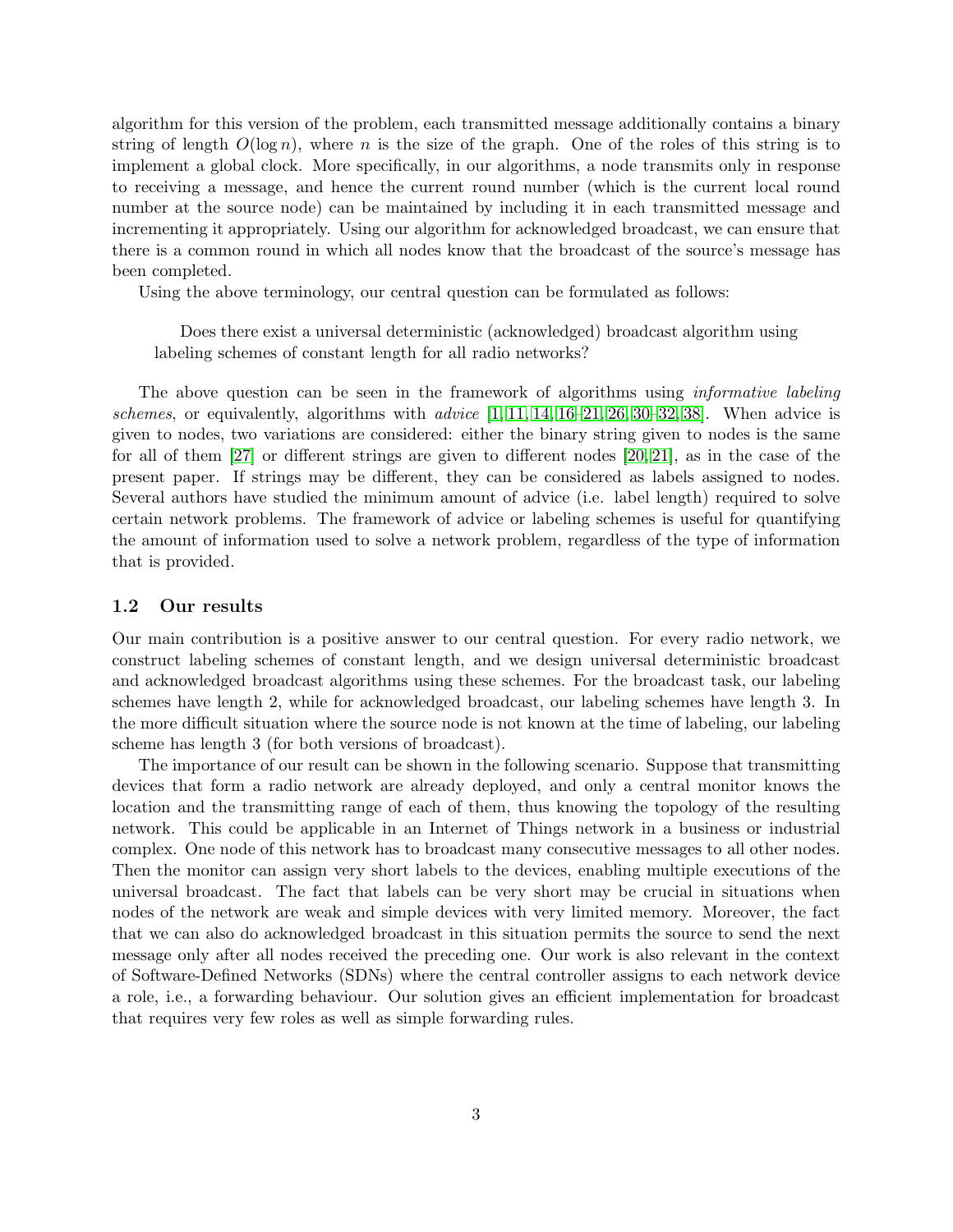algorithm for this version of the problem, each transmitted message additionally contains a binary string of length  $O(\log n)$ , where n is the size of the graph. One of the roles of this string is to implement a global clock. More specifically, in our algorithms, a node transmits only in response to receiving a message, and hence the current round number (which is the current local round number at the source node) can be maintained by including it in each transmitted message and incrementing it appropriately. Using our algorithm for acknowledged broadcast, we can ensure that there is a common round in which all nodes know that the broadcast of the source's message has been completed.

Using the above terminology, our central question can be formulated as follows:

Does there exist a universal deterministic (acknowledged) broadcast algorithm using labeling schemes of constant length for all radio networks?

The above question can be seen in the framework of algorithms using *informative labeling schemes*, or equivalently, algorithms with *advice* [\[1,](#page-15-1) [11,](#page-15-2) [14,](#page-16-0) [16](#page-16-1)[–21,](#page-16-2) [26,](#page-16-3) [30](#page-17-0)[–32,](#page-17-1) [38\]](#page-17-2). When advice is given to nodes, two variations are considered: either the binary string given to nodes is the same for all of them [\[27\]](#page-16-4) or different strings are given to different nodes [\[20,](#page-16-5) [21\]](#page-16-2), as in the case of the present paper. If strings may be different, they can be considered as labels assigned to nodes. Several authors have studied the minimum amount of advice (i.e. label length) required to solve certain network problems. The framework of advice or labeling schemes is useful for quantifying the amount of information used to solve a network problem, regardless of the type of information that is provided.

### 1.2 Our results

Our main contribution is a positive answer to our central question. For every radio network, we construct labeling schemes of constant length, and we design universal deterministic broadcast and acknowledged broadcast algorithms using these schemes. For the broadcast task, our labeling schemes have length 2, while for acknowledged broadcast, our labeling schemes have length 3. In the more difficult situation where the source node is not known at the time of labeling, our labeling scheme has length 3 (for both versions of broadcast).

The importance of our result can be shown in the following scenario. Suppose that transmitting devices that form a radio network are already deployed, and only a central monitor knows the location and the transmitting range of each of them, thus knowing the topology of the resulting network. This could be applicable in an Internet of Things network in a business or industrial complex. One node of this network has to broadcast many consecutive messages to all other nodes. Then the monitor can assign very short labels to the devices, enabling multiple executions of the universal broadcast. The fact that labels can be very short may be crucial in situations when nodes of the network are weak and simple devices with very limited memory. Moreover, the fact that we can also do acknowledged broadcast in this situation permits the source to send the next message only after all nodes received the preceding one. Our work is also relevant in the context of Software-Defined Networks (SDNs) where the central controller assigns to each network device a role, i.e., a forwarding behaviour. Our solution gives an efficient implementation for broadcast that requires very few roles as well as simple forwarding rules.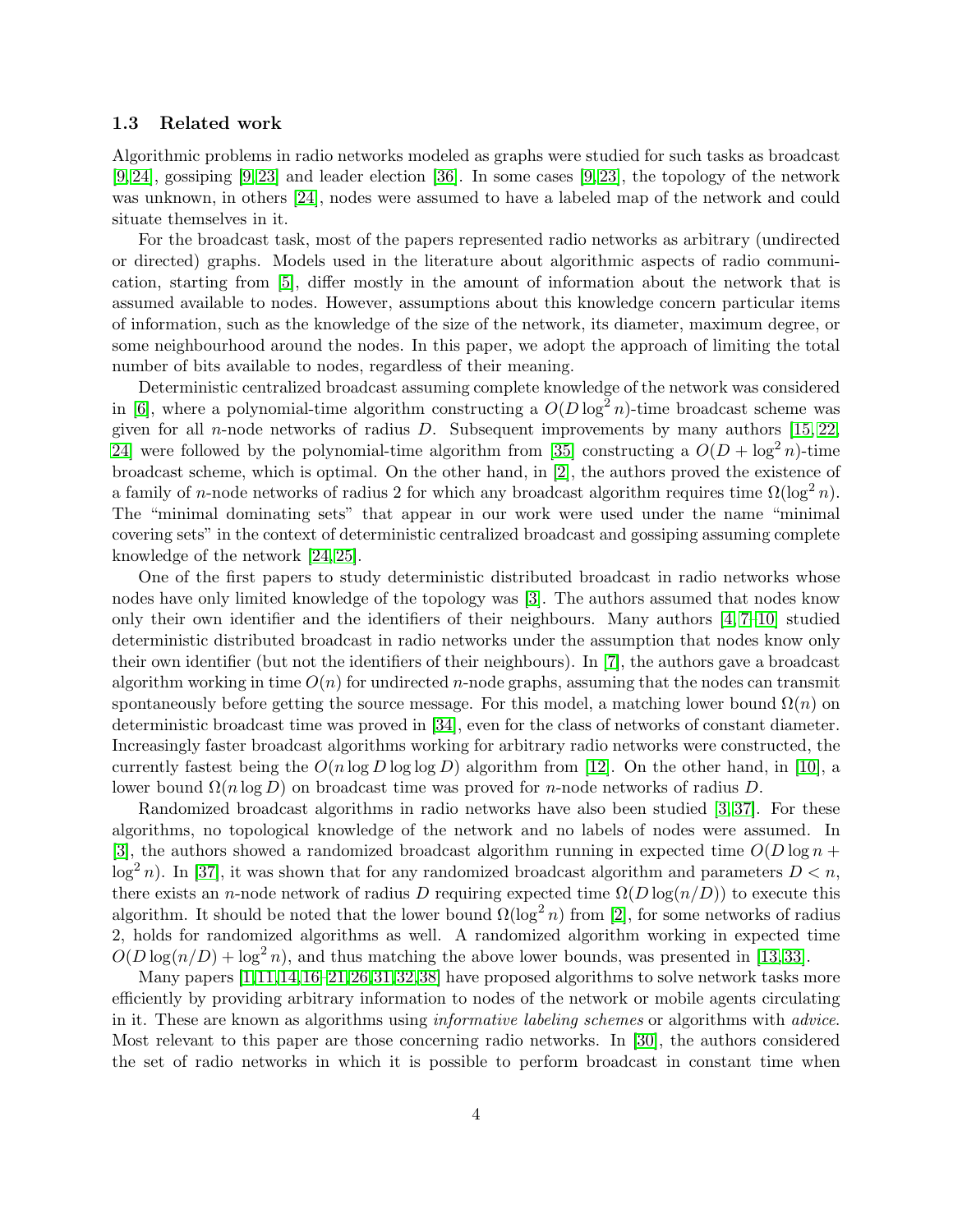#### 1.3 Related work

Algorithmic problems in radio networks modeled as graphs were studied for such tasks as broadcast [\[9,](#page-15-3) [24\]](#page-16-6), gossiping [\[9,](#page-15-3) [23\]](#page-16-7) and leader election [\[36\]](#page-17-3). In some cases [\[9,](#page-15-3) [23\]](#page-16-7), the topology of the network was unknown, in others [\[24\]](#page-16-6), nodes were assumed to have a labeled map of the network and could situate themselves in it.

For the broadcast task, most of the papers represented radio networks as arbitrary (undirected or directed) graphs. Models used in the literature about algorithmic aspects of radio communication, starting from [\[5\]](#page-15-4), differ mostly in the amount of information about the network that is assumed available to nodes. However, assumptions about this knowledge concern particular items of information, such as the knowledge of the size of the network, its diameter, maximum degree, or some neighbourhood around the nodes. In this paper, we adopt the approach of limiting the total number of bits available to nodes, regardless of their meaning.

Deterministic centralized broadcast assuming complete knowledge of the network was considered in [\[6\]](#page-15-5), where a polynomial-time algorithm constructing a  $O(D \log^2 n)$ -time broadcast scheme was given for all n-node networks of radius  $D$ . Subsequent improvements by many authors [\[15,](#page-16-8) [22,](#page-16-9) [24\]](#page-16-6) were followed by the polynomial-time algorithm from [\[35\]](#page-17-4) constructing a  $O(D + \log^2 n)$ -time broadcast scheme, which is optimal. On the other hand, in [\[2\]](#page-15-6), the authors proved the existence of a family of n-node networks of radius 2 for which any broadcast algorithm requires time  $\Omega(\log^2 n)$ . The "minimal dominating sets" that appear in our work were used under the name "minimal covering sets" in the context of deterministic centralized broadcast and gossiping assuming complete knowledge of the network [\[24,](#page-16-6) [25\]](#page-16-10).

One of the first papers to study deterministic distributed broadcast in radio networks whose nodes have only limited knowledge of the topology was [\[3\]](#page-15-7). The authors assumed that nodes know only their own identifier and the identifiers of their neighbours. Many authors  $\left[4, 7\neg 10\right]$  $\left[4, 7\neg 10\right]$  $\left[4, 7\neg 10\right]$  studied deterministic distributed broadcast in radio networks under the assumption that nodes know only their own identifier (but not the identifiers of their neighbours). In [\[7\]](#page-15-0), the authors gave a broadcast algorithm working in time  $O(n)$  for undirected n-node graphs, assuming that the nodes can transmit spontaneously before getting the source message. For this model, a matching lower bound  $\Omega(n)$  on deterministic broadcast time was proved in [\[34\]](#page-17-5), even for the class of networks of constant diameter. Increasingly faster broadcast algorithms working for arbitrary radio networks were constructed, the currently fastest being the  $O(n \log D \log \log D)$  algorithm from [\[12\]](#page-16-11). On the other hand, in [\[10\]](#page-15-9), a lower bound  $\Omega(n \log D)$  on broadcast time was proved for *n*-node networks of radius D.

Randomized broadcast algorithms in radio networks have also been studied [\[3,](#page-15-7) [37\]](#page-17-6). For these algorithms, no topological knowledge of the network and no labels of nodes were assumed. In [\[3\]](#page-15-7), the authors showed a randomized broadcast algorithm running in expected time  $O(D \log n +$  $\log^2 n$ ). In [\[37\]](#page-17-6), it was shown that for any randomized broadcast algorithm and parameters  $D < n$ , there exists an n-node network of radius D requiring expected time  $\Omega(D \log(n/D))$  to execute this algorithm. It should be noted that the lower bound  $\Omega(\log^2 n)$  from [\[2\]](#page-15-6), for some networks of radius 2, holds for randomized algorithms as well. A randomized algorithm working in expected time  $O(D \log(n/D) + \log^2 n)$ , and thus matching the above lower bounds, was presented in [\[13,](#page-16-12)33].

Many papers  $[1,11,14,16-21,26,31,32,38]$  $[1,11,14,16-21,26,31,32,38]$  $[1,11,14,16-21,26,31,32,38]$  $[1,11,14,16-21,26,31,32,38]$  $[1,11,14,16-21,26,31,32,38]$  $[1,11,14,16-21,26,31,32,38]$  $[1,11,14,16-21,26,31,32,38]$  $[1,11,14,16-21,26,31,32,38]$  $[1,11,14,16-21,26,31,32,38]$  have proposed algorithms to solve network tasks more efficiently by providing arbitrary information to nodes of the network or mobile agents circulating in it. These are known as algorithms using *informative labeling schemes* or algorithms with *advice*. Most relevant to this paper are those concerning radio networks. In [\[30\]](#page-17-0), the authors considered the set of radio networks in which it is possible to perform broadcast in constant time when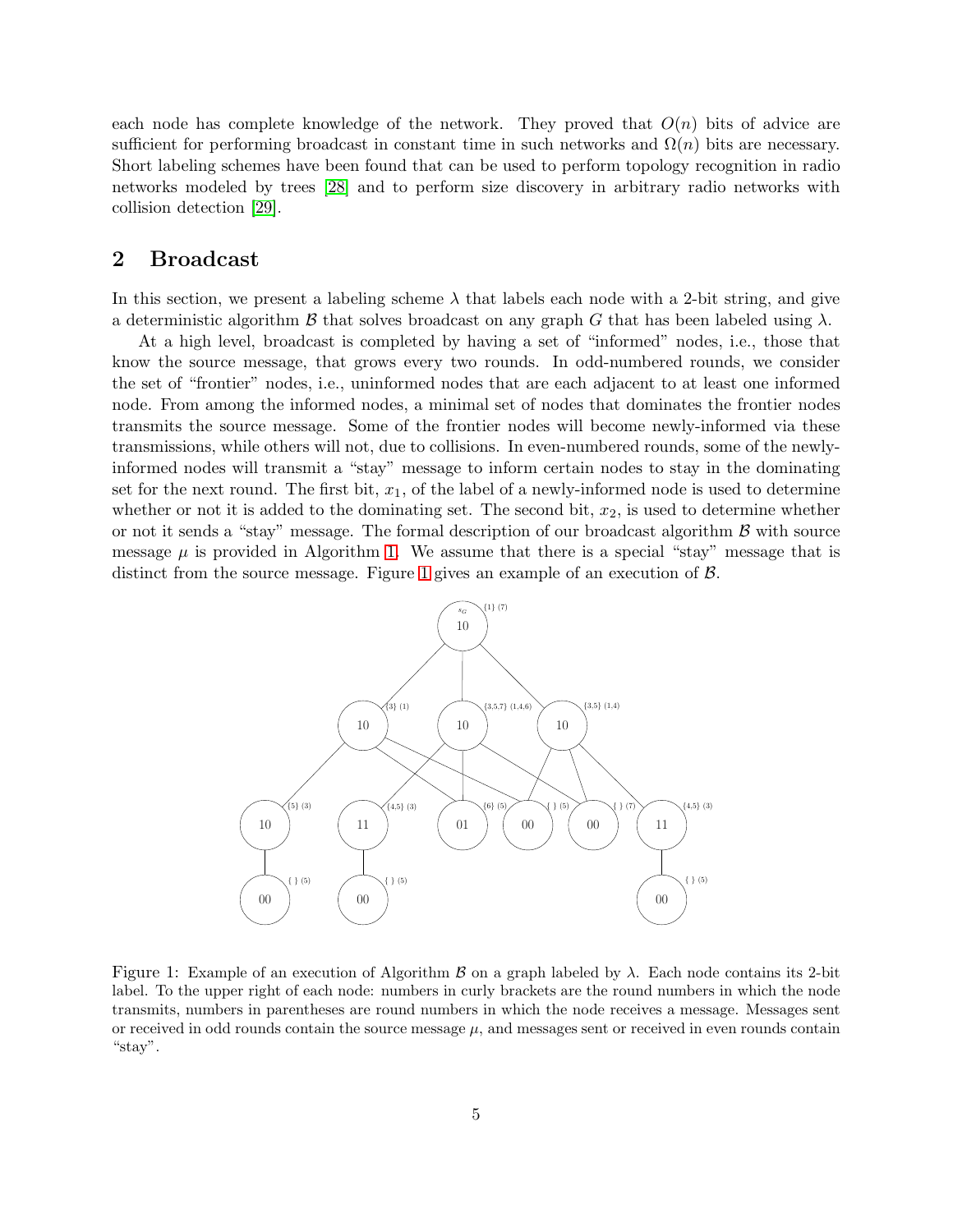each node has complete knowledge of the network. They proved that  $O(n)$  bits of advice are sufficient for performing broadcast in constant time in such networks and  $\Omega(n)$  bits are necessary. Short labeling schemes have been found that can be used to perform topology recognition in radio networks modeled by trees [\[28\]](#page-17-9) and to perform size discovery in arbitrary radio networks with collision detection [\[29\]](#page-17-10).

### <span id="page-4-1"></span>2 Broadcast

In this section, we present a labeling scheme  $\lambda$  that labels each node with a 2-bit string, and give a deterministic algorithm B that solves broadcast on any graph G that has been labeled using  $\lambda$ .

At a high level, broadcast is completed by having a set of "informed" nodes, i.e., those that know the source message, that grows every two rounds. In odd-numbered rounds, we consider the set of "frontier" nodes, i.e., uninformed nodes that are each adjacent to at least one informed node. From among the informed nodes, a minimal set of nodes that dominates the frontier nodes transmits the source message. Some of the frontier nodes will become newly-informed via these transmissions, while others will not, due to collisions. In even-numbered rounds, some of the newlyinformed nodes will transmit a "stay" message to inform certain nodes to stay in the dominating set for the next round. The first bit,  $x_1$ , of the label of a newly-informed node is used to determine whether or not it is added to the dominating set. The second bit,  $x_2$ , is used to determine whether or not it sends a "stay" message. The formal description of our broadcast algorithm  $\beta$  with source message  $\mu$  is provided in Algorithm [1.](#page-5-0) We assume that there is a special "stay" message that is distinct from the source message. Figure [1](#page-4-0) gives an example of an execution of  $\beta$ .



<span id="page-4-0"></span>Figure 1: Example of an execution of Algorithm  $\beta$  on a graph labeled by  $\lambda$ . Each node contains its 2-bit label. To the upper right of each node: numbers in curly brackets are the round numbers in which the node transmits, numbers in parentheses are round numbers in which the node receives a message. Messages sent or received in odd rounds contain the source message  $\mu$ , and messages sent or received in even rounds contain "stay".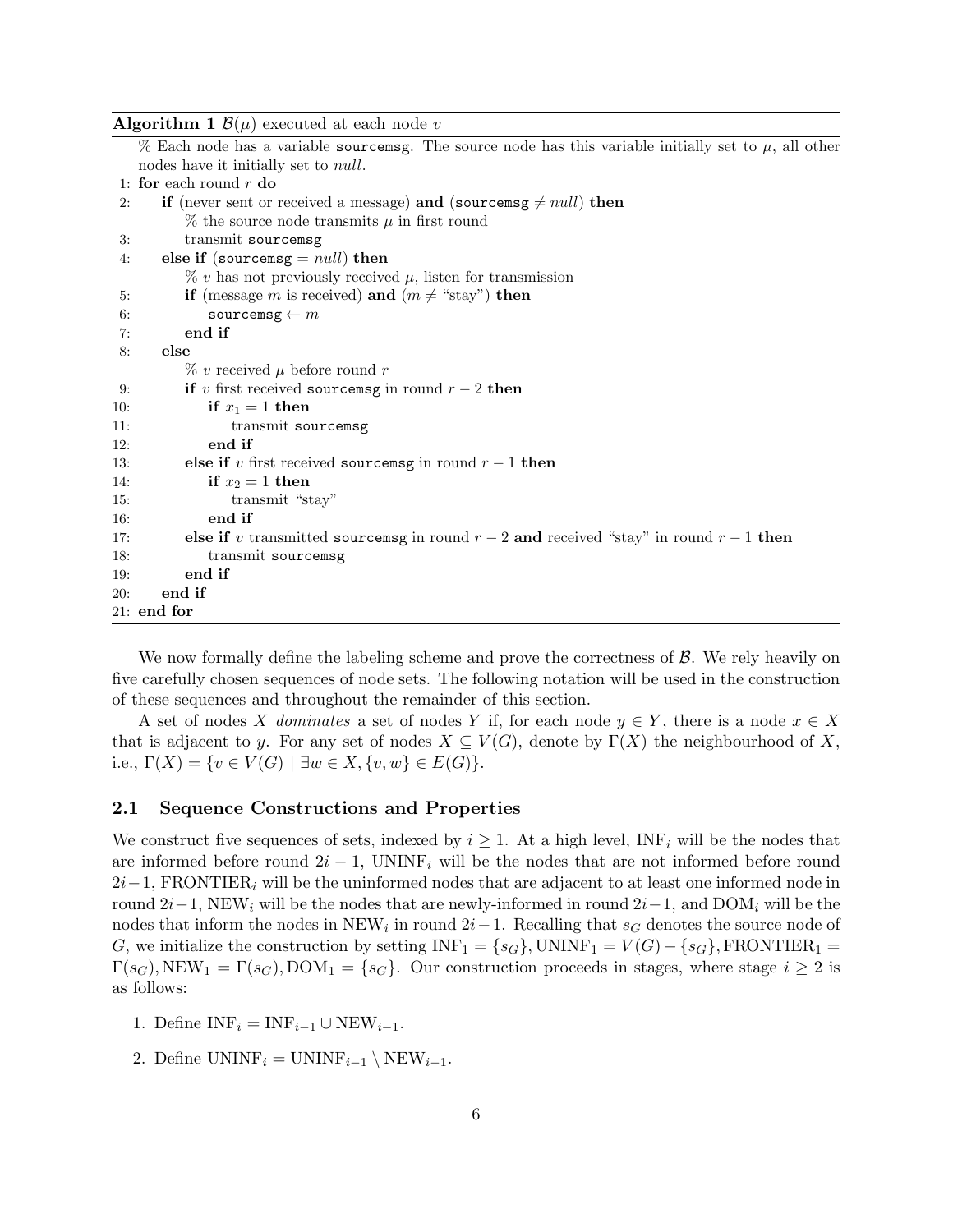<span id="page-5-0"></span>

We now formally define the labeling scheme and prove the correctness of  $\beta$ . We rely heavily on five carefully chosen sequences of node sets. The following notation will be used in the construction of these sequences and throughout the remainder of this section.

A set of nodes X *dominates* a set of nodes Y if, for each node  $y \in Y$ , there is a node  $x \in X$ that is adjacent to y. For any set of nodes  $X \subseteq V(G)$ , denote by  $\Gamma(X)$  the neighbourhood of X, i.e.,  $\Gamma(X) = \{v \in V(G) \mid \exists w \in X, \{v, w\} \in E(G)\}.$ 

#### 2.1 Sequence Constructions and Properties

We construct five sequences of sets, indexed by  $i \geq 1$ . At a high level, INF<sub>i</sub> will be the nodes that are informed before round  $2i - 1$ , UNINF<sub>i</sub> will be the nodes that are not informed before round  $2i-1$ , FRONTIER<sub>i</sub> will be the uninformed nodes that are adjacent to at least one informed node in round  $2i-1$ , NEW<sub>i</sub> will be the nodes that are newly-informed in round  $2i-1$ , and DOM<sub>i</sub> will be the nodes that inform the nodes in  $NEW_i$  in round  $2i-1$ . Recalling that  $s_G$  denotes the source node of G, we initialize the construction by setting  $INF_1 = \{s_G\}$ ,  $\text{UNINF}_1 = V(G) - \{s_G\}$ , FRONTIER<sub>1</sub> =  $\Gamma(s_G)$ , NEW<sub>1</sub> =  $\Gamma(s_G)$ , DOM<sub>1</sub> =  $\{s_G\}$ . Our construction proceeds in stages, where stage  $i \geq 2$  is as follows:

- 1. Define  $INF_i = INF_{i-1} \cup NEW_{i-1}$ .
- 2. Define  $UNINF_i = UNINF_{i-1} \setminus NEW_{i-1}$ .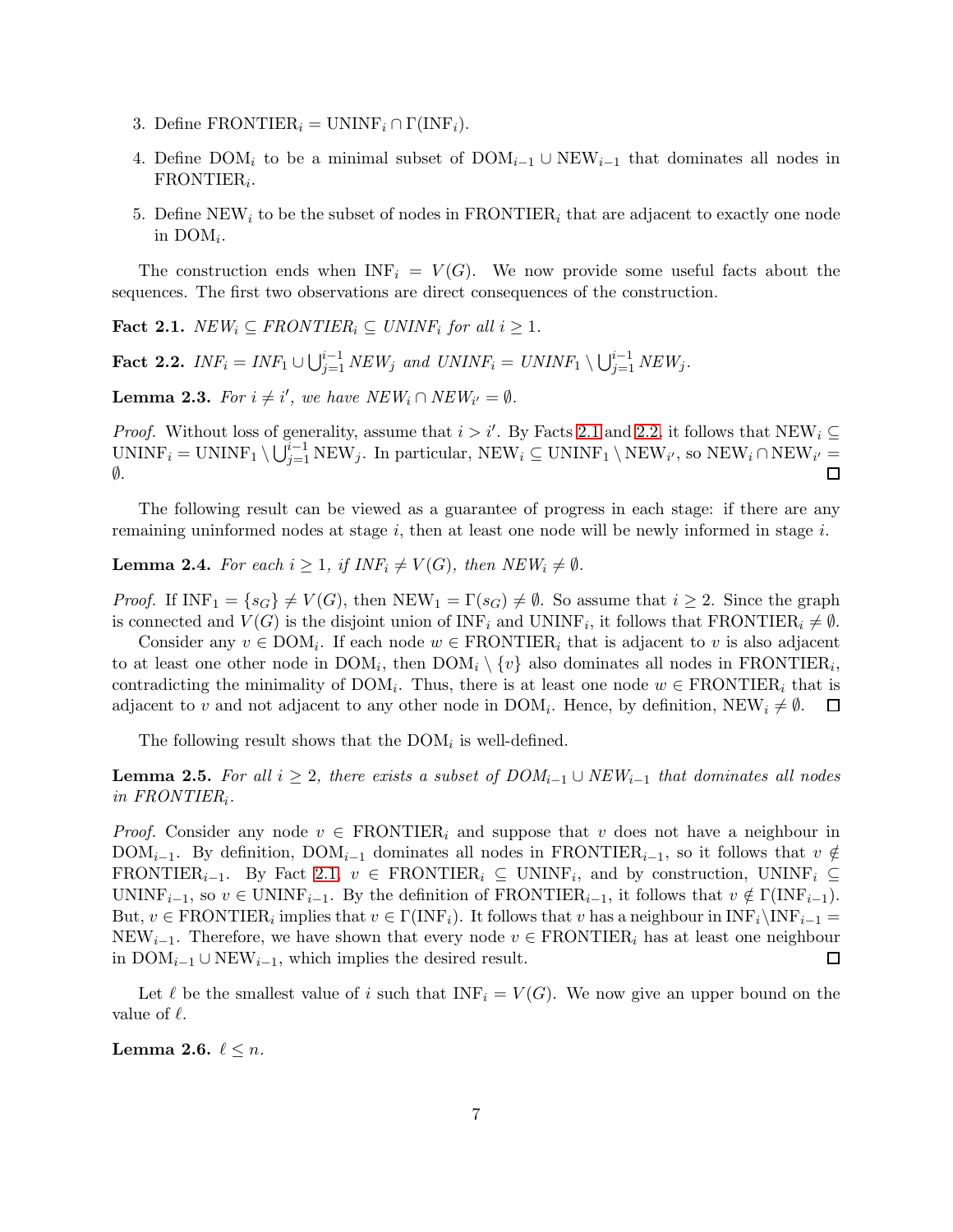- 3. Define  $FRONTIER_i = UNINF_i \cap \Gamma(NF_i)$ .
- 4. Define  $DOM_i$  to be a minimal subset of  $DOM_{i-1} \cup NEW_{i-1}$  that dominates all nodes in  $FRONTIER_i$ .
- 5. Define  $NEW_i$  to be the subset of nodes in FRONTIER<sub>i</sub> that are adjacent to exactly one node in  $DOM_i$ .

The construction ends when  $INF_i = V(G)$ . We now provide some useful facts about the sequences. The first two observations are direct consequences of the construction.

<span id="page-6-0"></span>**Fact 2.1.** *NEW*<sub>i</sub> ⊆ *FRONTIER*<sub>i</sub> ⊆ *UNINF*<sub>i</sub> for all  $i \ge 1$ *.* 

<span id="page-6-1"></span>**Fact 2.2.** *INF<sub>i</sub>* = *INF*<sub>1</sub> ∪ ∪ $j=1 \t J$ *NEW<sub>j</sub> and UNINF<sub>i</sub>* = *UNINF*<sub>1</sub> ∖ ∪ $j=1 \t J$ *NEW<sub>j</sub>*.

<span id="page-6-3"></span>**Lemma 2.3.** *For*  $i \neq i'$ , *we have*  $NEW_i \cap NEW_{i'} = \emptyset$ *.* 

*Proof.* Without loss of generality, assume that  $i > i'$ . By Facts [2.1](#page-6-0) and [2.2,](#page-6-1) it follows that NEW<sub>i</sub> ⊆  $\text{UNINF}_i = \text{UNINF}_1 \setminus \bigcup_{j=1}^{i-1} \text{NEW}_j$ . In particular,  $\text{NEW}_i \subseteq \text{UNINF}_1 \setminus \text{NEW}_{i'}$ , so  $\text{NEW}_i \cap \text{NEW}_{i'} =$ ∅. 口

The following result can be viewed as a guarantee of progress in each stage: if there are any remaining uninformed nodes at stage  $i$ , then at least one node will be newly informed in stage  $i$ .

<span id="page-6-2"></span>**Lemma 2.4.** *For each*  $i \geq 1$ *, if*  $INF_i \neq V(G)$ *, then*  $NEW_i \neq \emptyset$ *.* 

*Proof.* If  $INF_1 = \{s_G\} \neq V(G)$ , then  $NEW_1 = \Gamma(s_G) \neq \emptyset$ . So assume that  $i \geq 2$ . Since the graph is connected and  $V(G)$  is the disjoint union of  $INF_i$  and  $UNINF_i$ , it follows that  $FRONTIER_i \neq \emptyset$ .

Consider any  $v \in \text{DOM}_i$ . If each node  $w \in \text{FRONTIER}_i$  that is adjacent to v is also adjacent to at least one other node in  $\text{DOM}_i$ , then  $\text{DOM}_i \setminus \{v\}$  also dominates all nodes in FRONTIER<sub>i</sub>, contradicting the minimality of  $DOM_i$ . Thus, there is at least one node  $w \in \text{FRONTIER}_i$  that is adjacent to v and not adjacent to any other node in  $DOM_i$ . Hence, by definition,  $NEW_i \neq \emptyset$ .  $\Box$ 

The following result shows that the  $DOM_i$  is well-defined.

**Lemma 2.5.** For all  $i \geq 2$ , there exists a subset of  $DOM_{i-1} \cup NEW_{i-1}$  that dominates all nodes *in FRONTIER*<sup>i</sup> *.*

*Proof.* Consider any node  $v \in \text{FRONTIER}_i$  and suppose that v does not have a neighbour in DOM<sub>i−1</sub>. By definition, DOM<sub>i−1</sub> dominates all nodes in FRONTIER<sub>i−1</sub>, so it follows that  $v \notin$ FRONTIER<sub>i-1</sub>. By Fact [2.1,](#page-6-0)  $v \in \text{FRONTIER}_i \subseteq \text{UNINF}_i$ , and by construction, UNINF<sub>i</sub>  $\subseteq$ UNINF<sub>i-1</sub>, so  $v \in \text{UNINF}_{i-1}$ . By the definition of FRONTIER<sub>i-1</sub>, it follows that  $v \notin \Gamma(\text{INF}_{i-1})$ . But,  $v \in \text{FRONTIER}_i$  implies that  $v \in \Gamma(\text{INF}_i)$ . It follows that v has a neighbour in  $\text{INF}_i \setminus \text{INF}_{i-1} =$  $NEW_{i-1}$ . Therefore, we have shown that every node  $v \in FROMITER_i$  has at least one neighbour in  $DOM_{i-1} \cup NEW_{i-1}$ , which implies the desired result.  $\Box$ 

Let  $\ell$  be the smallest value of i such that  $INF_i = V(G)$ . We now give an upper bound on the value of  $\ell$ .

<span id="page-6-4"></span>Lemma 2.6.  $\ell \leq n$ .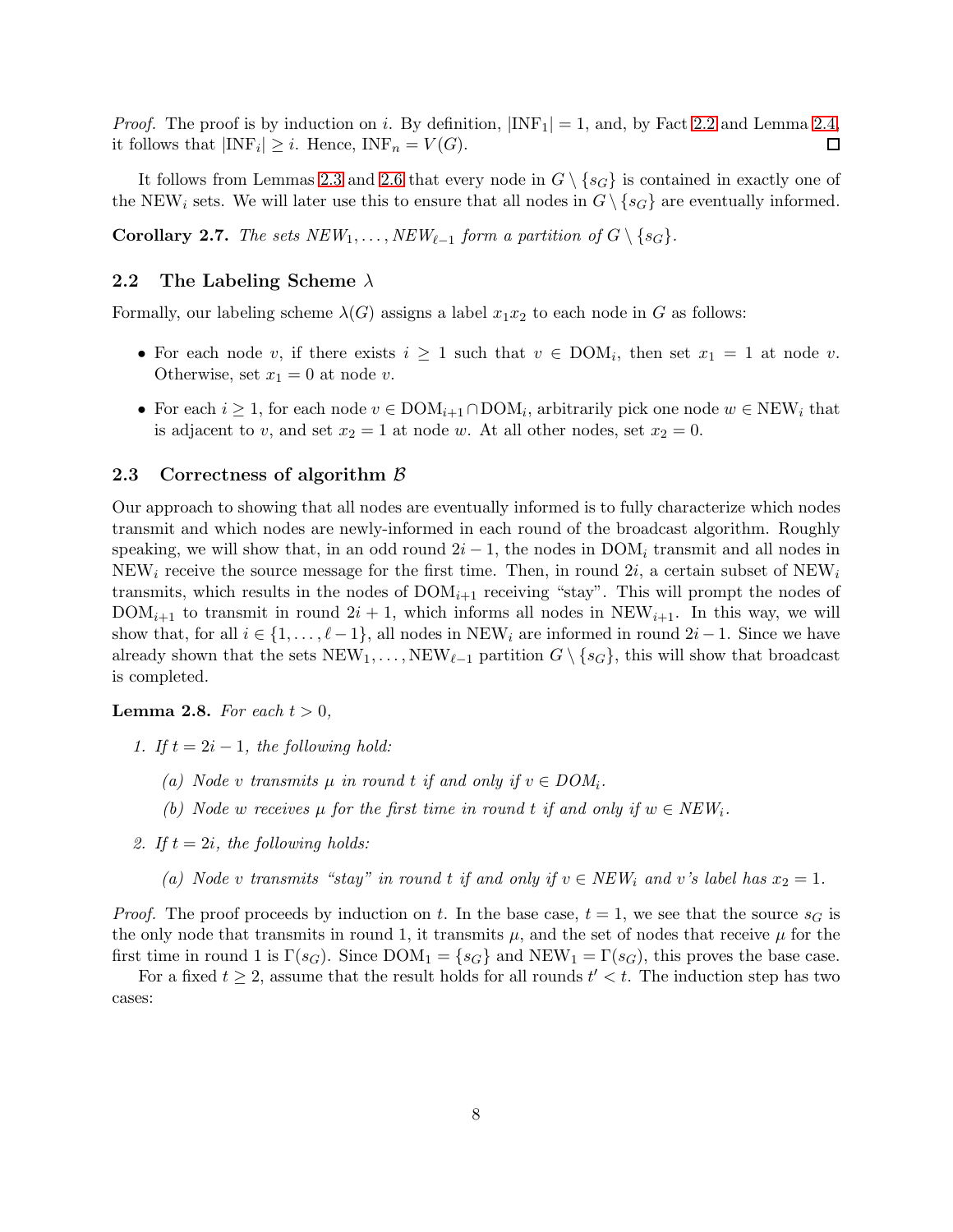*Proof.* The proof is by induction on i. By definition,  $|INF_1| = 1$ , and, by Fact [2.2](#page-6-1) and Lemma [2.4,](#page-6-2) it follows that  $|\text{INF}_i| \geq i$ . Hence,  $\text{INF}_n = V(G)$ .  $\Box$ 

It follows from Lemmas [2.3](#page-6-3) and [2.6](#page-6-4) that every node in  $G \setminus \{s_G\}$  is contained in exactly one of the NEW<sub>i</sub> sets. We will later use this to ensure that all nodes in  $G \setminus \{s_G\}$  are eventually informed.

<span id="page-7-0"></span>**Corollary 2.7.** *The sets NEW*<sub>1</sub>, ..., *NEW*<sub> $\ell-1$ </sub> *form a partition of*  $G \setminus \{s_G\}$ *.* 

### <span id="page-7-2"></span>2.2 The Labeling Scheme  $\lambda$

Formally, our labeling scheme  $\lambda(G)$  assigns a label  $x_1x_2$  to each node in G as follows:

- For each node v, if there exists  $i \geq 1$  such that  $v \in \text{DOM}_i$ , then set  $x_1 = 1$  at node v. Otherwise, set  $x_1 = 0$  at node v.
- For each  $i \geq 1$ , for each node  $v \in \text{DOM}_{i+1} \cap \text{DOM}_{i}$ , arbitrarily pick one node  $w \in \text{NEW}_{i}$  that is adjacent to v, and set  $x_2 = 1$  at node w. At all other nodes, set  $x_2 = 0$ .

#### 2.3 Correctness of algorithm  $\beta$

Our approach to showing that all nodes are eventually informed is to fully characterize which nodes transmit and which nodes are newly-informed in each round of the broadcast algorithm. Roughly speaking, we will show that, in an odd round  $2i - 1$ , the nodes in DOM<sub>i</sub> transmit and all nodes in NEW<sub>i</sub> receive the source message for the first time. Then, in round  $2i$ , a certain subset of NEW<sub>i</sub> transmits, which results in the nodes of  $DOM_{i+1}$  receiving "stay". This will prompt the nodes of  $DOM_{i+1}$  to transmit in round  $2i + 1$ , which informs all nodes in  $NEW_{i+1}$ . In this way, we will show that, for all  $i \in \{1, \ldots, \ell-1\}$ , all nodes in NEW<sub>i</sub> are informed in round  $2i-1$ . Since we have already shown that the sets  $NEW_1, \ldots, NEW_{\ell-1}$  partition  $G \setminus \{s_G\}$ , this will show that broadcast is completed.

<span id="page-7-1"></span>Lemma 2.8. For each  $t > 0$ ,

- *1.* If  $t = 2i 1$ , the following hold:
	- *(a) Node v transmits*  $\mu$  *in round t if and only if*  $v \in DOM_i$ *.*
	- *(b) Node w receives*  $\mu$  *for the first time in round t if and only if*  $w \in NEW_i$ .
- 2. If  $t = 2i$ , the following holds:
	- *(a)* Node v *transmits "stay" in round* t *if and only if*  $v \in NEW_i$  *and* v's label has  $x_2 = 1$ .

*Proof.* The proof proceeds by induction on t. In the base case,  $t = 1$ , we see that the source  $s_G$  is the only node that transmits in round 1, it transmits  $\mu$ , and the set of nodes that receive  $\mu$  for the first time in round 1 is  $\Gamma(s_G)$ . Since  $\text{DOM}_1 = \{s_G\}$  and  $\text{NEW}_1 = \Gamma(s_G)$ , this proves the base case.

For a fixed  $t \geq 2$ , assume that the result holds for all rounds  $t' < t$ . The induction step has two cases: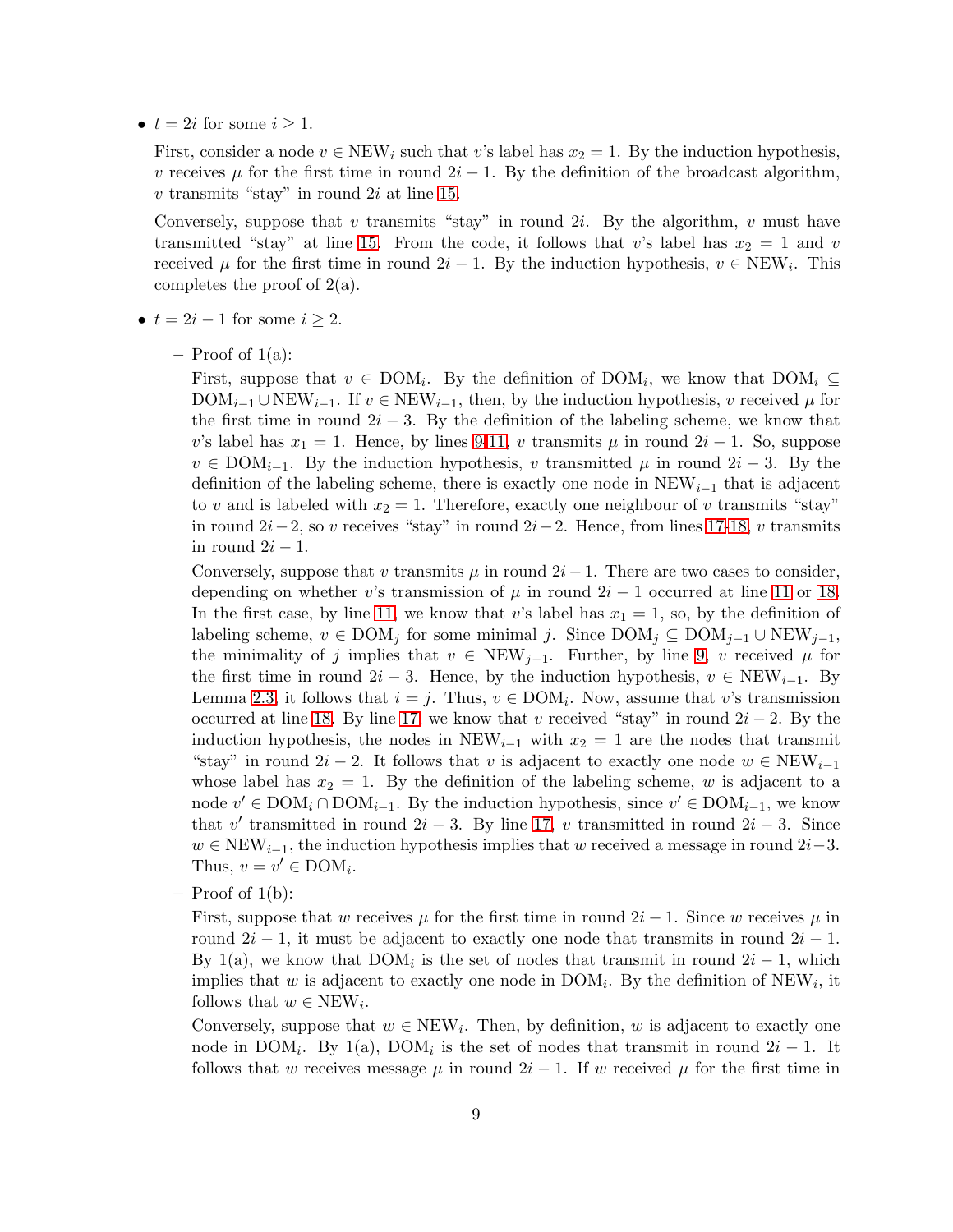•  $t = 2i$  for some  $i \geq 1$ .

First, consider a node  $v \in NEW_i$  such that v's label has  $x_2 = 1$ . By the induction hypothesis, v receives  $\mu$  for the first time in round  $2i - 1$ . By the definition of the broadcast algorithm,  $v$  transmits "stay" in round 2*i* at line [15.](#page-5-0)

Conversely, suppose that  $v$  transmits "stay" in round  $2i$ . By the algorithm,  $v$  must have transmitted "stay" at line [15.](#page-5-0) From the code, it follows that v's label has  $x_2 = 1$  and v received  $\mu$  for the first time in round  $2i - 1$ . By the induction hypothesis,  $v \in NEW_i$ . This completes the proof of 2(a).

- $t = 2i 1$  for some  $i \geq 2$ .
	- $-$  Proof of 1(a):

First, suppose that  $v \in \text{DOM}_i$ . By the definition of  $\text{DOM}_i$ , we know that  $\text{DOM}_i \subseteq$  $\text{DOM}_{i-1} \cup \text{NEW}_{i-1}$ . If  $v \in \text{NEW}_{i-1}$ , then, by the induction hypothesis, v received  $\mu$  for the first time in round  $2i - 3$ . By the definition of the labeling scheme, we know that v's label has  $x_1 = 1$ . Hence, by lines [9-11,](#page-5-0) v transmits  $\mu$  in round  $2i - 1$ . So, suppose  $v \in \text{DOM}_{i-1}$ . By the induction hypothesis, v transmitted  $\mu$  in round  $2i-3$ . By the definition of the labeling scheme, there is exactly one node in  $NEW_{i-1}$  that is adjacent to v and is labeled with  $x_2 = 1$ . Therefore, exactly one neighbour of v transmits "stay" in round  $2i-2$ , so v receives "stay" in round  $2i-2$ . Hence, from lines [17-18,](#page-5-0) v transmits in round  $2i - 1$ .

Conversely, suppose that v transmits  $\mu$  in round  $2i-1$ . There are two cases to consider, depending on whether v's transmission of  $\mu$  in round  $2i-1$  occurred at line [11](#page-5-0) or [18.](#page-5-0) In the first case, by line [11,](#page-5-0) we know that v's label has  $x_1 = 1$ , so, by the definition of labeling scheme,  $v \in DOM_j$  for some minimal j. Since  $DOM_j \subseteq DOM_{j-1} \cup NEW_{j-1}$ , the minimality of j implies that  $v \in NEW_{j-1}$ . Further, by line [9,](#page-5-0) v received  $\mu$  for the first time in round  $2i-3$ . Hence, by the induction hypothesis,  $v \in NEW_{i-1}$ . By Lemma [2.3,](#page-6-3) it follows that  $i = j$ . Thus,  $v \in \text{DOM}_i$ . Now, assume that v's transmission occurred at line [18.](#page-5-0) By line [17,](#page-5-0) we know that v received "stay" in round  $2i - 2$ . By the induction hypothesis, the nodes in  $NEW_{i-1}$  with  $x_2 = 1$  are the nodes that transmit "stay" in round  $2i - 2$ . It follows that v is adjacent to exactly one node  $w \in NEW_{i-1}$ whose label has  $x_2 = 1$ . By the definition of the labeling scheme, w is adjacent to a node  $v' \in \text{DOM}_i \cap \text{DOM}_{i-1}$ . By the induction hypothesis, since  $v' \in \text{DOM}_{i-1}$ , we know that v' transmitted in round  $2i - 3$ . By line [17,](#page-5-0) v transmitted in round  $2i - 3$ . Since  $w \in NEW_{i-1}$ , the induction hypothesis implies that w received a message in round 2i–3. Thus,  $v = v' \in \text{DOM}_i$ .

 $-$  Proof of 1(b):

First, suppose that w receives  $\mu$  for the first time in round  $2i - 1$ . Since w receives  $\mu$  in round  $2i - 1$ , it must be adjacent to exactly one node that transmits in round  $2i - 1$ . By 1(a), we know that  $DOM_i$  is the set of nodes that transmit in round  $2i-1$ , which implies that w is adjacent to exactly one node in  $DOM_i$ . By the definition of  $NEW_i$ , it follows that  $w \in NEW_i$ .

Conversely, suppose that  $w \in NEW_i$ . Then, by definition, w is adjacent to exactly one node in  $DOM_i$ . By  $1(a)$ ,  $DOM_i$  is the set of nodes that transmit in round  $2i-1$ . It follows that w receives message  $\mu$  in round  $2i - 1$ . If w received  $\mu$  for the first time in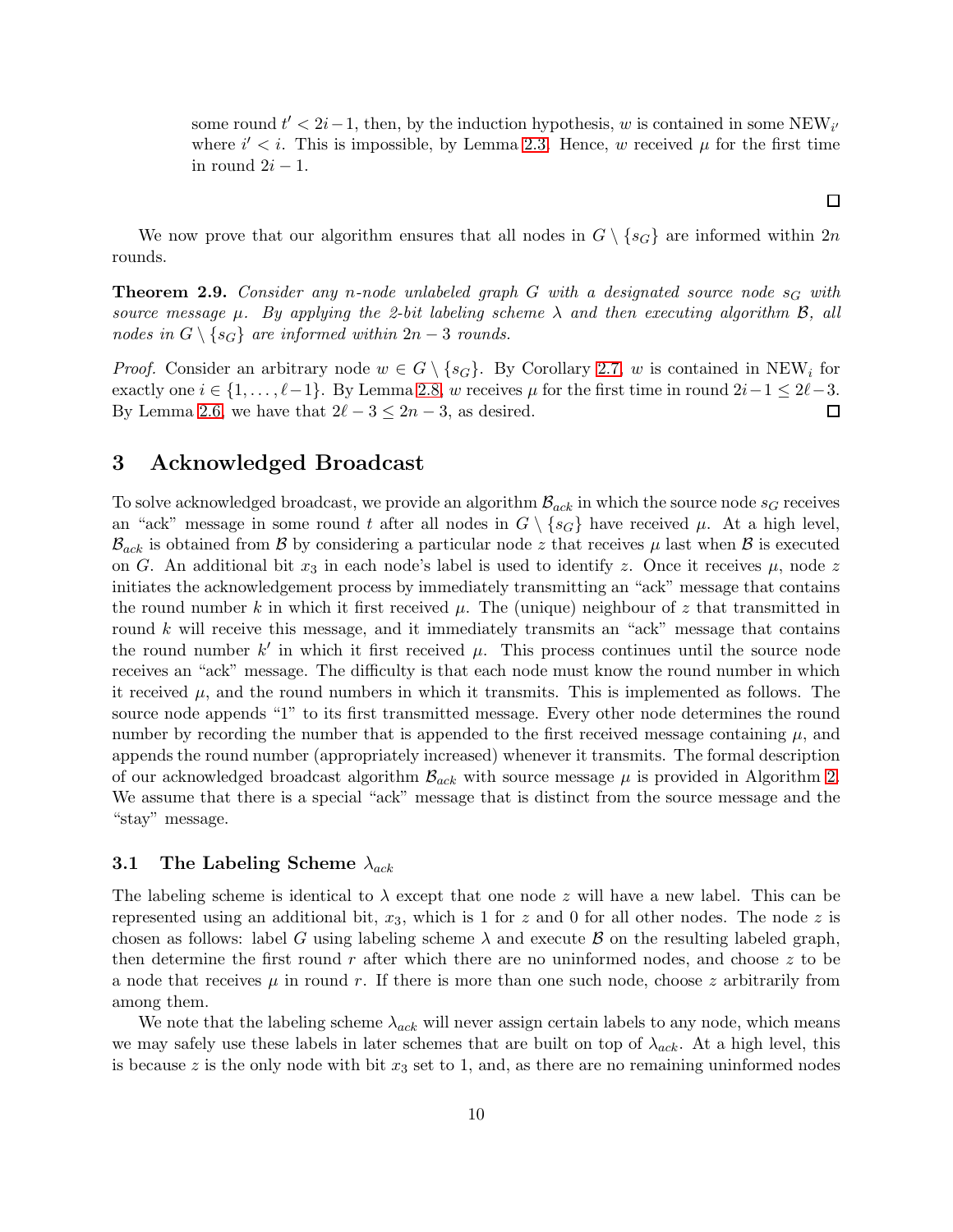some round  $t' < 2i - 1$ , then, by the induction hypothesis, w is contained in some NEW<sub>i</sub> where  $i' < i$ . This is impossible, by Lemma [2.3.](#page-6-3) Hence, w received  $\mu$  for the first time in round  $2i - 1$ .

 $\Box$ 

We now prove that our algorithm ensures that all nodes in  $G \setminus \{s_G\}$  are informed within  $2n$ rounds.

**Theorem 2.9.** *Consider any n-node* unlabeled graph G with a designated source node  $s_G$  with *source message*  $\mu$ *. By applying the 2-bit labeling scheme*  $\lambda$  *and then executing algorithm*  $\beta$ *, all nodes in*  $G \setminus \{s_G\}$  *are informed within*  $2n - 3$  *rounds.* 

*Proof.* Consider an arbitrary node  $w \in G \setminus \{s_G\}$ . By Corollary [2.7,](#page-7-0) w is contained in NEW<sub>i</sub> for exactly one  $i \in \{1, \ldots, \ell-1\}$ . By Lemma [2.8,](#page-7-1) w receives  $\mu$  for the first time in round  $2i-1 \leq 2\ell-3$ . By Lemma [2.6,](#page-6-4) we have that  $2\ell - 3 \leq 2n - 3$ , as desired. □

### <span id="page-9-0"></span>3 Acknowledged Broadcast

To solve acknowledged broadcast, we provide an algorithm  $\mathcal{B}_{ack}$  in which the source node  $s_G$  receives an "ack" message in some round t after all nodes in  $G \setminus \{s_G\}$  have received  $\mu$ . At a high level,  $B_{ack}$  is obtained from B by considering a particular node z that receives  $\mu$  last when B is executed on G. An additional bit  $x_3$  in each node's label is used to identify z. Once it receives  $\mu$ , node z initiates the acknowledgement process by immediately transmitting an "ack" message that contains the round number k in which it first received  $\mu$ . The (unique) neighbour of z that transmitted in round  $k$  will receive this message, and it immediately transmits an "ack" message that contains the round number  $k'$  in which it first received  $\mu$ . This process continues until the source node receives an "ack" message. The difficulty is that each node must know the round number in which it received  $\mu$ , and the round numbers in which it transmits. This is implemented as follows. The source node appends "1" to its first transmitted message. Every other node determines the round number by recording the number that is appended to the first received message containing  $\mu$ , and appends the round number (appropriately increased) whenever it transmits. The formal description of our acknowledged broadcast algorithm  $\mathcal{B}_{ack}$  with source message  $\mu$  is provided in Algorithm [2.](#page-11-0) We assume that there is a special "ack" message that is distinct from the source message and the "stay" message.

### 3.1 The Labeling Scheme  $\lambda_{ack}$

The labeling scheme is identical to  $\lambda$  except that one node z will have a new label. This can be represented using an additional bit,  $x_3$ , which is 1 for z and 0 for all other nodes. The node z is chosen as follows: label G using labeling scheme  $\lambda$  and execute  $\beta$  on the resulting labeled graph, then determine the first round r after which there are no uninformed nodes, and choose  $z$  to be a node that receives  $\mu$  in round r. If there is more than one such node, choose z arbitrarily from among them.

We note that the labeling scheme  $\lambda_{ack}$  will never assign certain labels to any node, which means we may safely use these labels in later schemes that are built on top of  $\lambda_{ack}$ . At a high level, this is because z is the only node with bit  $x_3$  set to 1, and, as there are no remaining uninformed nodes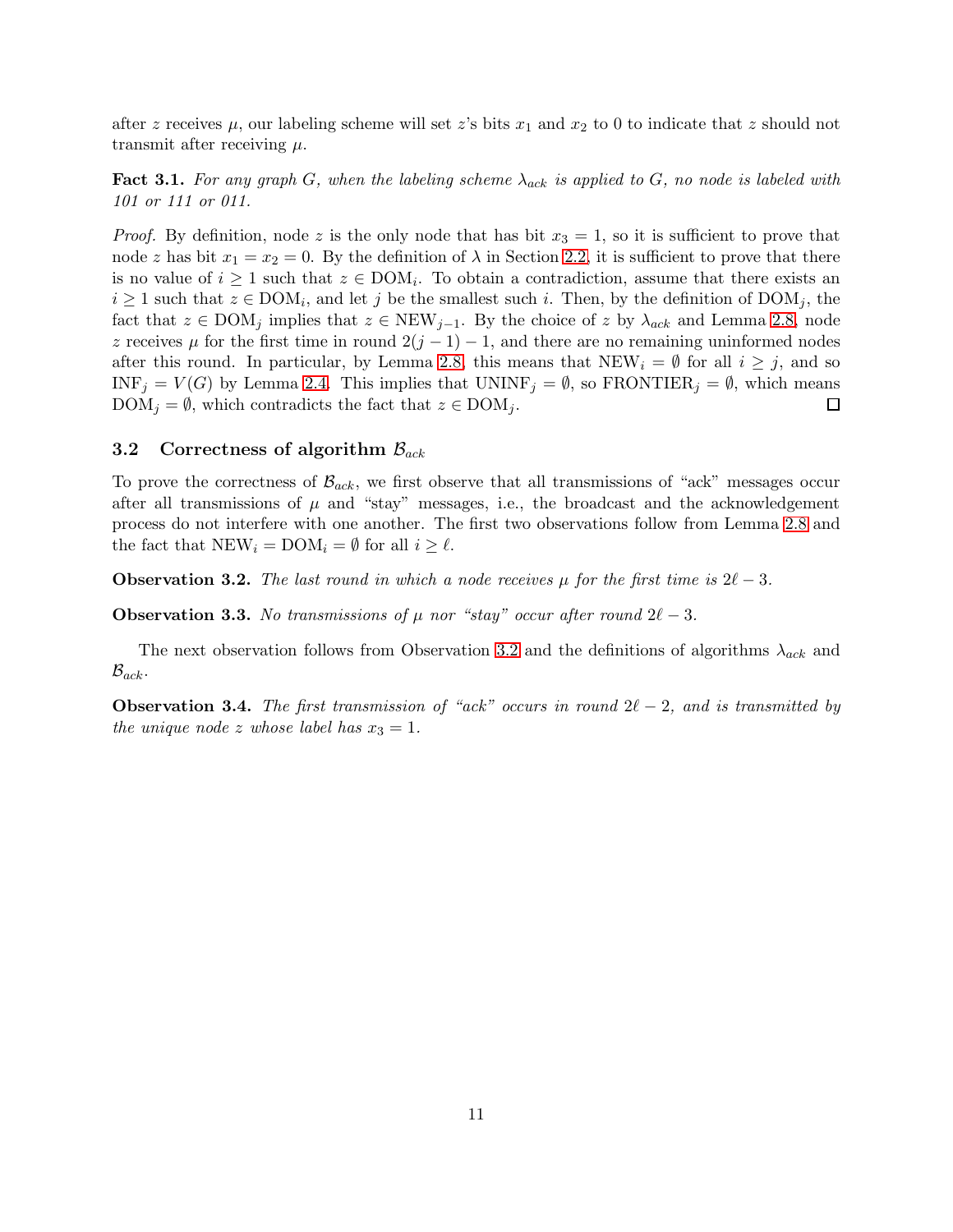after z receives  $\mu$ , our labeling scheme will set z's bits  $x_1$  and  $x_2$  to 0 to indicate that z should not transmit after receiving  $\mu$ .

<span id="page-10-3"></span>**Fact 3.1.** For any graph G, when the labeling scheme  $\lambda_{ack}$  is applied to G, no node is labeled with *101 or 111 or 011.*

*Proof.* By definition, node z is the only node that has bit  $x_3 = 1$ , so it is sufficient to prove that node z has bit  $x_1 = x_2 = 0$ . By the definition of  $\lambda$  in Section [2.2,](#page-7-2) it is sufficient to prove that there is no value of  $i \geq 1$  such that  $z \in \text{DOM}_i$ . To obtain a contradiction, assume that there exists an  $i \geq 1$  such that  $z \in \text{DOM}_i$ , and let j be the smallest such i. Then, by the definition of  $\text{DOM}_j$ , the fact that  $z \in \text{DOM}_j$  implies that  $z \in \text{NEW}_{j-1}$ . By the choice of z by  $\lambda_{ack}$  and Lemma [2.8,](#page-7-1) node z receives  $\mu$  for the first time in round  $2(j-1)-1$ , and there are no remaining uninformed nodes after this round. In particular, by Lemma [2.8,](#page-7-1) this means that  $NEW_i = \emptyset$  for all  $i \geq j$ , and so INF<sub>j</sub> =  $V(G)$  by Lemma [2.4.](#page-6-2) This implies that UNINF<sub>j</sub> =  $\emptyset$ , so FRONTIER<sub>j</sub> =  $\emptyset$ , which means  $DOM_i = \emptyset$ , which contradicts the fact that  $z \in DOM_i$ . □

### 3.2 Correctness of algorithm  $\mathcal{B}_{ack}$

To prove the correctness of  $\mathcal{B}_{ack}$ , we first observe that all transmissions of "ack" messages occur after all transmissions of  $\mu$  and "stay" messages, i.e., the broadcast and the acknowledgement process do not interfere with one another. The first two observations follow from Lemma [2.8](#page-7-1) and the fact that  $NEW_i = DOM_i = \emptyset$  for all  $i \geq \ell$ .

<span id="page-10-0"></span>**Observation 3.2.** The last round in which a node receives  $\mu$  for the first time is  $2\ell - 3$ .

<span id="page-10-2"></span>**Observation 3.3.** *No transmissions of*  $\mu$  *nor "stay" occur after round*  $2\ell - 3$ *.* 

The next observation follows from Observation [3.2](#page-10-0) and the definitions of algorithms  $\lambda_{ack}$  and  $\mathcal{B}_{ack}$ .

<span id="page-10-1"></span>**Observation 3.4.** The first transmission of "ack" occurs in round  $2\ell - 2$ , and is transmitted by *the unique node* z *whose label has*  $x_3 = 1$ *.*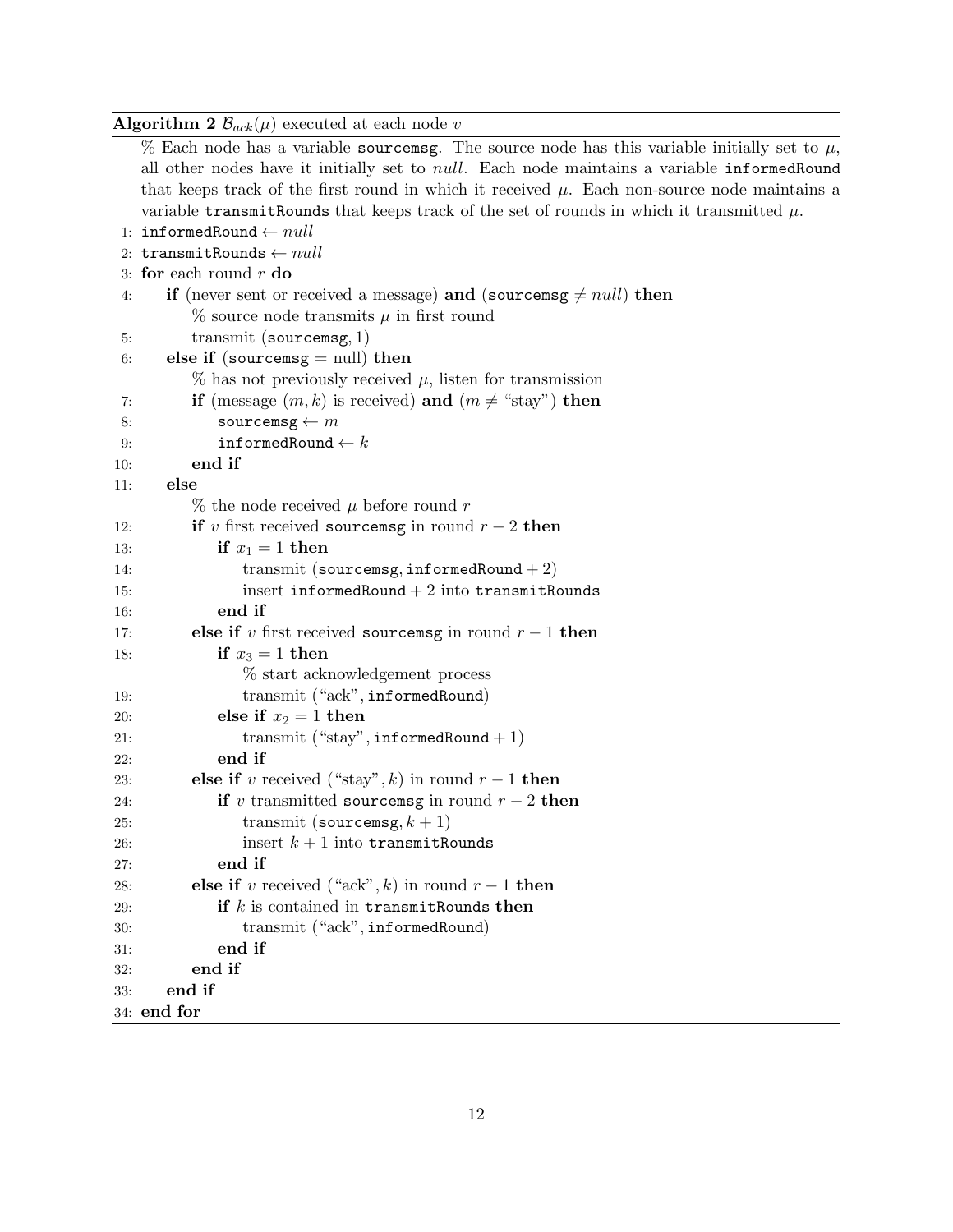<span id="page-11-0"></span>Algorithm 2 $\mathcal{B}_{ack}(\mu)$  executed at each node  $v$ 

|            | % Each node has a variable sourcemsg. The source node has this variable initially set to $\mu$ ,     |
|------------|------------------------------------------------------------------------------------------------------|
|            | all other nodes have it initially set to <i>null</i> . Each node maintains a variable informed Round |
|            | that keeps track of the first round in which it received $\mu$ . Each non-source node maintains a    |
|            | variable transmit Rounds that keeps track of the set of rounds in which it transmitted $\mu$ .       |
|            | 1: informedRound $\leftarrow null$                                                                   |
|            | 2: transmitRounds $\leftarrow null$                                                                  |
|            | 3: for each round $r$ do                                                                             |
| 4:         | if (never sent or received a message) and (sourcemsg $\neq null$ ) then                              |
|            | $\%$ source node transmits $\mu$ in first round                                                      |
| 5:         | transmit $(sourcemsg, 1)$                                                                            |
| 6:         | else if (sourcemsg $=$ null) then                                                                    |
|            | $%$ has not previously received $\mu$ , listen for transmission                                      |
| 7:         | <b>if</b> (message $(m, k)$ is received) and $(m \neq$ "stay") then                                  |
| 8:         | $\texttt{sources} \leftarrow m$                                                                      |
| 9:         | $\texttt{informedRound} \leftarrow k$                                                                |
| 10:        | end if                                                                                               |
| 11:        | else                                                                                                 |
|            | $\%$ the node received $\mu$ before round r                                                          |
| 12:        | if v first received sourcemsg in round $r - 2$ then                                                  |
| 13:        | if $x_1 = 1$ then                                                                                    |
| 14:        | transmit (sourcemsg, informed Round + 2)                                                             |
| 15:        | insert informed Round $+2$ into transmit Rounds                                                      |
| 16:        | end if                                                                                               |
| 17:        | else if v first received sourcemsg in round $r-1$ then                                               |
| 18:        | if $x_3 = 1$ then                                                                                    |
|            | % start acknowledgement process                                                                      |
| 19:        | transmit ("ack", informed Round)                                                                     |
| <b>20:</b> | else if $x_2 = 1$ then                                                                               |
| 21:        | transmit ("stay", informed Round + 1)                                                                |
| 22:        | end if                                                                                               |
| 23:        | else if v received ("stay", k) in round $r-1$ then                                                   |
| 24:        | if v transmitted sourcemsg in round $r-2$ then                                                       |
| 25:        | transmit (sourcemsg, $k+1$ )                                                                         |
| 26:        | insert $k+1$ into transmit Rounds                                                                    |
| 27:        | end if                                                                                               |
| 28:        | else if v received ("ack", k) in round $r-1$ then                                                    |
| 29:        | if $k$ is contained in transmit Rounds then                                                          |
| 30:        | transmit ("ack", informedRound)                                                                      |
| 31:        | end if                                                                                               |
| 32:        | end if                                                                                               |
| 33:        | end if                                                                                               |
|            | 34: end for                                                                                          |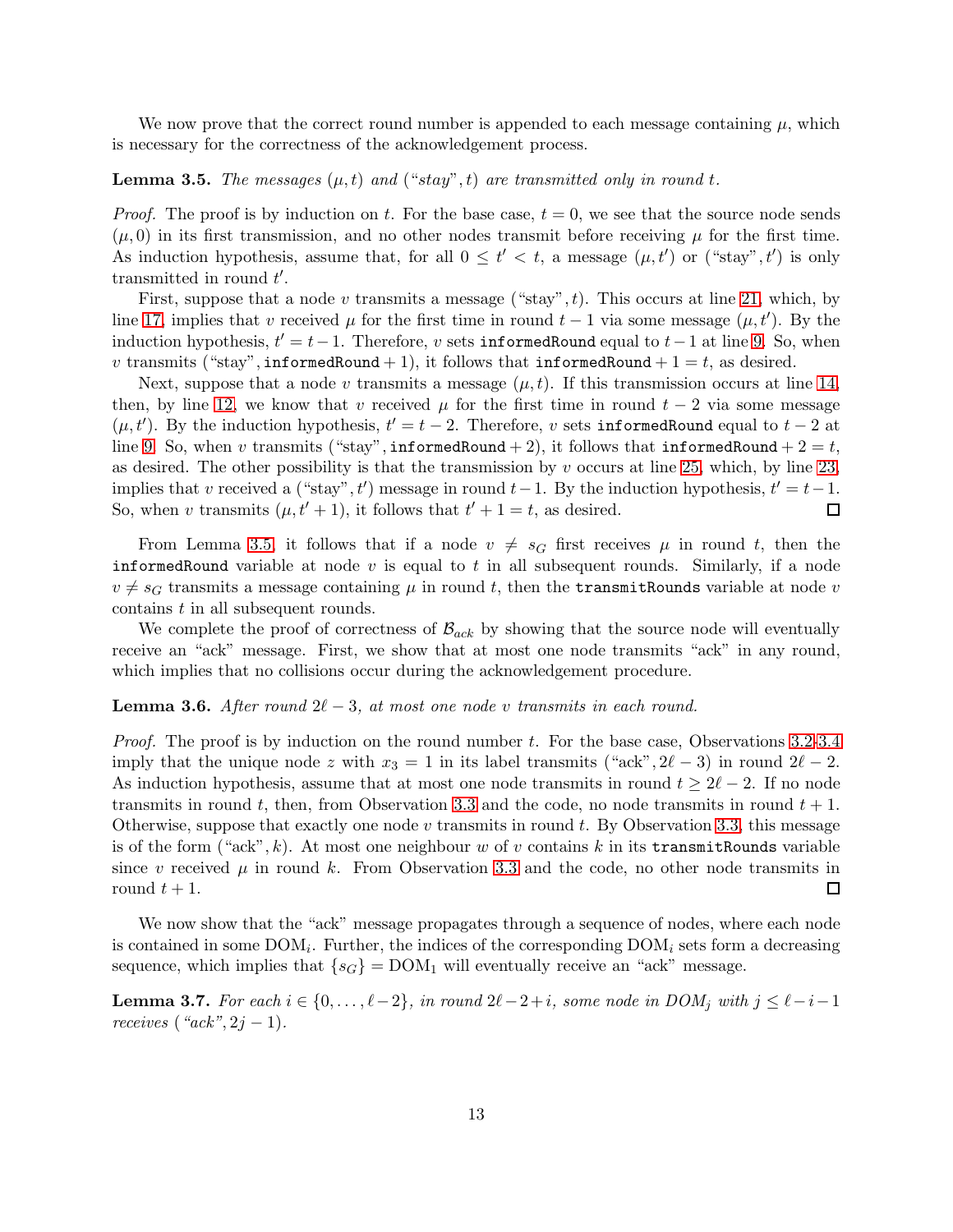We now prove that the correct round number is appended to each message containing  $\mu$ , which is necessary for the correctness of the acknowledgement process.

#### <span id="page-12-0"></span>**Lemma 3.5.** *The messages*  $(\mu, t)$  *and*  $("stay", t)$  *are transmitted only in round t.*

*Proof.* The proof is by induction on t. For the base case,  $t = 0$ , we see that the source node sends  $(\mu, 0)$  in its first transmission, and no other nodes transmit before receiving  $\mu$  for the first time. As induction hypothesis, assume that, for all  $0 \le t' < t$ , a message  $(\mu, t')$  or ("stay", t') is only transmitted in round  $t'$ .

First, suppose that a node v transmits a message ("stay", t). This occurs at line [21,](#page-11-0) which, by line [17,](#page-11-0) implies that v received  $\mu$  for the first time in round  $t-1$  via some message  $(\mu, t')$ . By the induction hypothesis,  $t' = t - 1$ . Therefore, v sets informedRound equal to  $t-1$  at line [9.](#page-11-0) So, when v transmits ("stay", informedRound + 1), it follows that informedRound +  $1 = t$ , as desired.

Next, suppose that a node v transmits a message  $(\mu, t)$ . If this transmission occurs at line [14,](#page-11-0) then, by line [12,](#page-11-0) we know that v received  $\mu$  for the first time in round  $t-2$  via some message  $(\mu, t')$ . By the induction hypothesis,  $t' = t - 2$ . Therefore, v sets informedRound equal to  $t - 2$  at line [9.](#page-11-0) So, when v transmits ("stay", informedRound + 2), it follows that informedRound +  $2 = t$ , as desired. The other possibility is that the transmission by v occurs at line [25,](#page-11-0) which, by line  $23$ , implies that v received a ("stay", t') message in round  $t-1$ . By the induction hypothesis,  $t' = t-1$ . So, when v transmits  $(\mu, t' + 1)$ , it follows that  $t' + 1 = t$ , as desired.  $\Box$ 

From Lemma [3.5,](#page-12-0) it follows that if a node  $v \neq s_G$  first receives  $\mu$  in round t, then the **informedRound** variable at node v is equal to t in all subsequent rounds. Similarly, if a node  $v \neq s_G$  transmits a message containing  $\mu$  in round t, then the transmitRounds variable at node v contains t in all subsequent rounds.

We complete the proof of correctness of  $\mathcal{B}_{ack}$  by showing that the source node will eventually receive an "ack" message. First, we show that at most one node transmits "ack" in any round, which implies that no collisions occur during the acknowledgement procedure.

#### <span id="page-12-1"></span>Lemma 3.6. *After round* 2ℓ − 3*, at most one node* v *transmits in each round.*

*Proof.* The proof is by induction on the round number t. For the base case, Observations [3.2](#page-10-0)[-3.4](#page-10-1) imply that the unique node z with  $x_3 = 1$  in its label transmits ("ack",  $2\ell - 3$ ) in round  $2\ell - 2$ . As induction hypothesis, assume that at most one node transmits in round  $t \geq 2\ell - 2$ . If no node transmits in round t, then, from Observation [3.3](#page-10-2) and the code, no node transmits in round  $t + 1$ . Otherwise, suppose that exactly one node v transmits in round t. By Observation [3.3,](#page-10-2) this message is of the form ("ack", k). At most one neighbour w of v contains k in its transmitRounds variable since v received  $\mu$  in round k. From Observation [3.3](#page-10-2) and the code, no other node transmits in round  $t + 1$ . □

We now show that the "ack" message propagates through a sequence of nodes, where each node is contained in some  $\text{DOM}_i$ . Further, the indices of the corresponding  $\text{DOM}_i$  sets form a decreasing sequence, which implies that  $\{s_G\} = \text{DOM}_1$  will eventually receive an "ack" message.

**Lemma 3.7.** *For each*  $i \in \{0, \ldots, \ell-2\}$ *, in round*  $2\ell-2+i$ *, some node in DOM<sub>j</sub> with*  $j \leq \ell-i-1$ *receives* (*"ack"*,  $2j - 1$ )*.*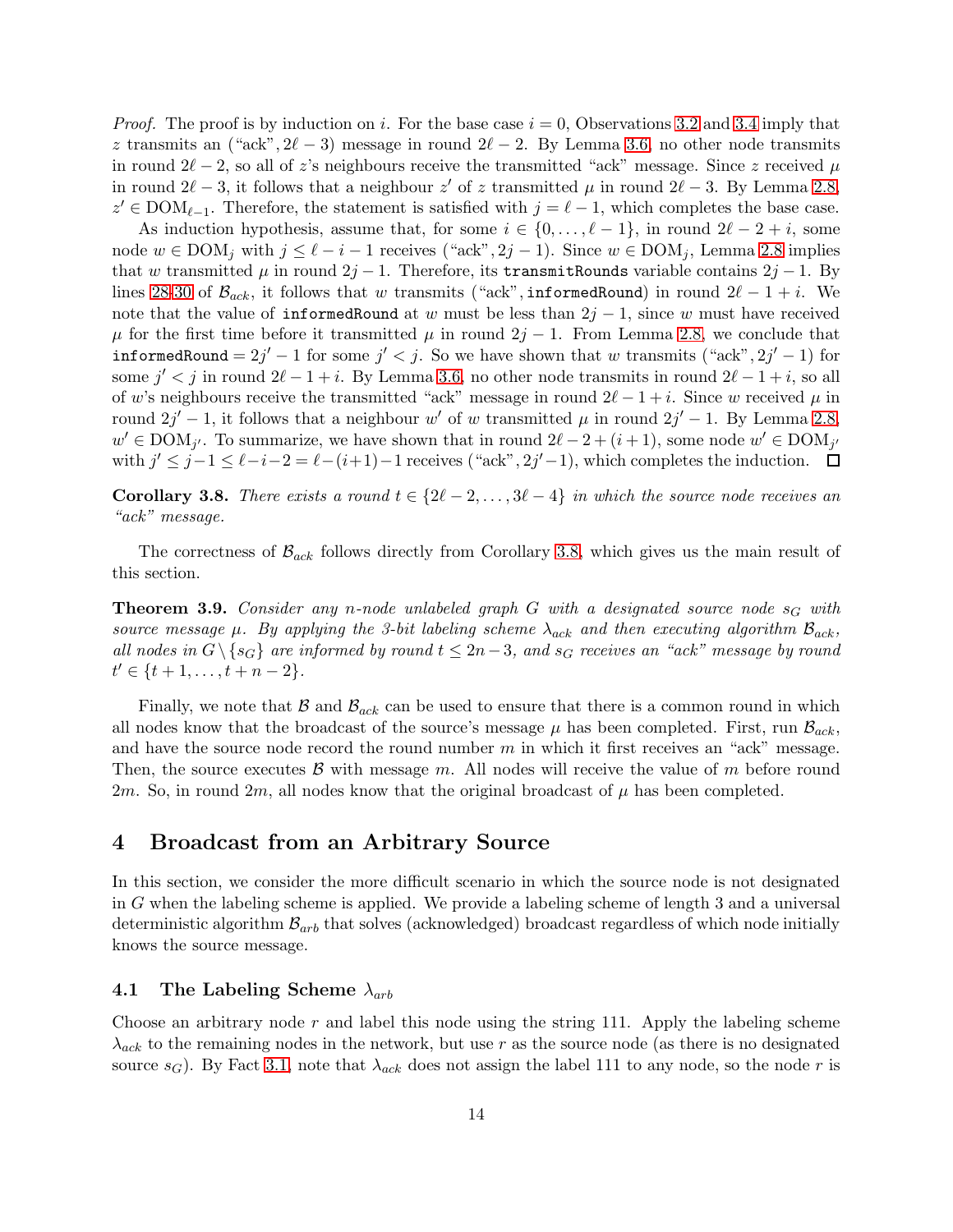*Proof.* The proof is by induction on i. For the base case  $i = 0$ , Observations [3.2](#page-10-0) and [3.4](#page-10-1) imply that z transmits an ("ack",  $2\ell - 3$ ) message in round  $2\ell - 2$ . By Lemma [3.6,](#page-12-1) no other node transmits in round  $2\ell - 2$ , so all of z's neighbours receive the transmitted "ack" message. Since z received  $\mu$ in round  $2\ell - 3$ , it follows that a neighbour z' of z transmitted  $\mu$  in round  $2\ell - 3$ . By Lemma [2.8,](#page-7-1)  $z' \in \text{DOM}_{\ell-1}$ . Therefore, the statement is satisfied with  $j = \ell - 1$ , which completes the base case.

As induction hypothesis, assume that, for some  $i \in \{0, \ldots, \ell-1\}$ , in round  $2\ell - 2 + i$ , some node  $w \in \text{DOM}_j$  with  $j \leq \ell - i - 1$  receives ("ack", 2j − 1). Since  $w \in \text{DOM}_j$ , Lemma [2.8](#page-7-1) implies that w transmitted  $\mu$  in round  $2j - 1$ . Therefore, its transmitRounds variable contains  $2j - 1$ . By lines [28-30](#page-11-0) of  $\mathcal{B}_{ack}$ , it follows that w transmits ("ack", informedRound) in round  $2\ell - 1 + i$ . We note that the value of informedRound at w must be less than  $2j - 1$ , since w must have received  $\mu$  for the first time before it transmitted  $\mu$  in round  $2j - 1$ . From Lemma [2.8,](#page-7-1) we conclude that informedRound =  $2j' - 1$  for some  $j' < j$ . So we have shown that w transmits ("ack",  $2j' - 1$ ) for some  $j' < j$  in round  $2\ell - 1 + i$ . By Lemma [3.6,](#page-12-1) no other node transmits in round  $2\ell - 1 + i$ , so all of w's neighbours receive the transmitted "ack" message in round  $2\ell - 1 + i$ . Since w received  $\mu$  in round  $2j' - 1$ , it follows that a neighbour w' of w transmitted  $\mu$  in round  $2j' - 1$ . By Lemma [2.8,](#page-7-1)  $w' \in \text{DOM}_{j'}$ . To summarize, we have shown that in round  $2\ell - 2 + (i + 1)$ , some node  $w' \in \text{DOM}_{j'}$ with  $j' \leq j-1 \leq \ell-i-2 = \ell-(i+1)-1$  receives ("ack", 2j'-1), which completes the induction.

<span id="page-13-0"></span>**Corollary 3.8.** *There exists a round*  $t \in \{2\ell - 2, \ldots, 3\ell - 4\}$  *in which the source node receives an "ack" message.*

The correctness of  $\mathcal{B}_{ack}$  follows directly from Corollary [3.8,](#page-13-0) which gives us the main result of this section.

**Theorem 3.9.** *Consider any n-node* unlabeled graph G with a designated source node  $s_G$  with *source message*  $\mu$ *. By applying the 3-bit labeling scheme*  $\lambda_{ack}$  and then executing algorithm  $\mathcal{B}_{ack}$ , *all nodes in*  $G \setminus \{s_G\}$  *are informed by round*  $t \leq 2n-3$ *, and*  $s_G$  *receives an "ack" message by round*  $t' \in \{t+1, \ldots, t+n-2\}.$ 

Finally, we note that  $\mathcal{B}$  and  $\mathcal{B}_{ack}$  can be used to ensure that there is a common round in which all nodes know that the broadcast of the source's message  $\mu$  has been completed. First, run  $\mathcal{B}_{ack}$ , and have the source node record the round number  $m$  in which it first receives an "ack" message. Then, the source executes  $\mathcal{B}$  with message m. All nodes will receive the value of m before round 2m. So, in round 2m, all nodes know that the original broadcast of  $\mu$  has been completed.

### 4 Broadcast from an Arbitrary Source

In this section, we consider the more difficult scenario in which the source node is not designated in G when the labeling scheme is applied. We provide a labeling scheme of length 3 and a universal deterministic algorithm  $\mathcal{B}_{arb}$  that solves (acknowledged) broadcast regardless of which node initially knows the source message.

### 4.1 The Labeling Scheme  $\lambda_{arb}$

Choose an arbitrary node  $r$  and label this node using the string 111. Apply the labeling scheme  $\lambda_{ack}$  to the remaining nodes in the network, but use r as the source node (as there is no designated source s<sub>G</sub>). By Fact [3.1,](#page-10-3) note that  $\lambda_{ack}$  does not assign the label 111 to any node, so the node r is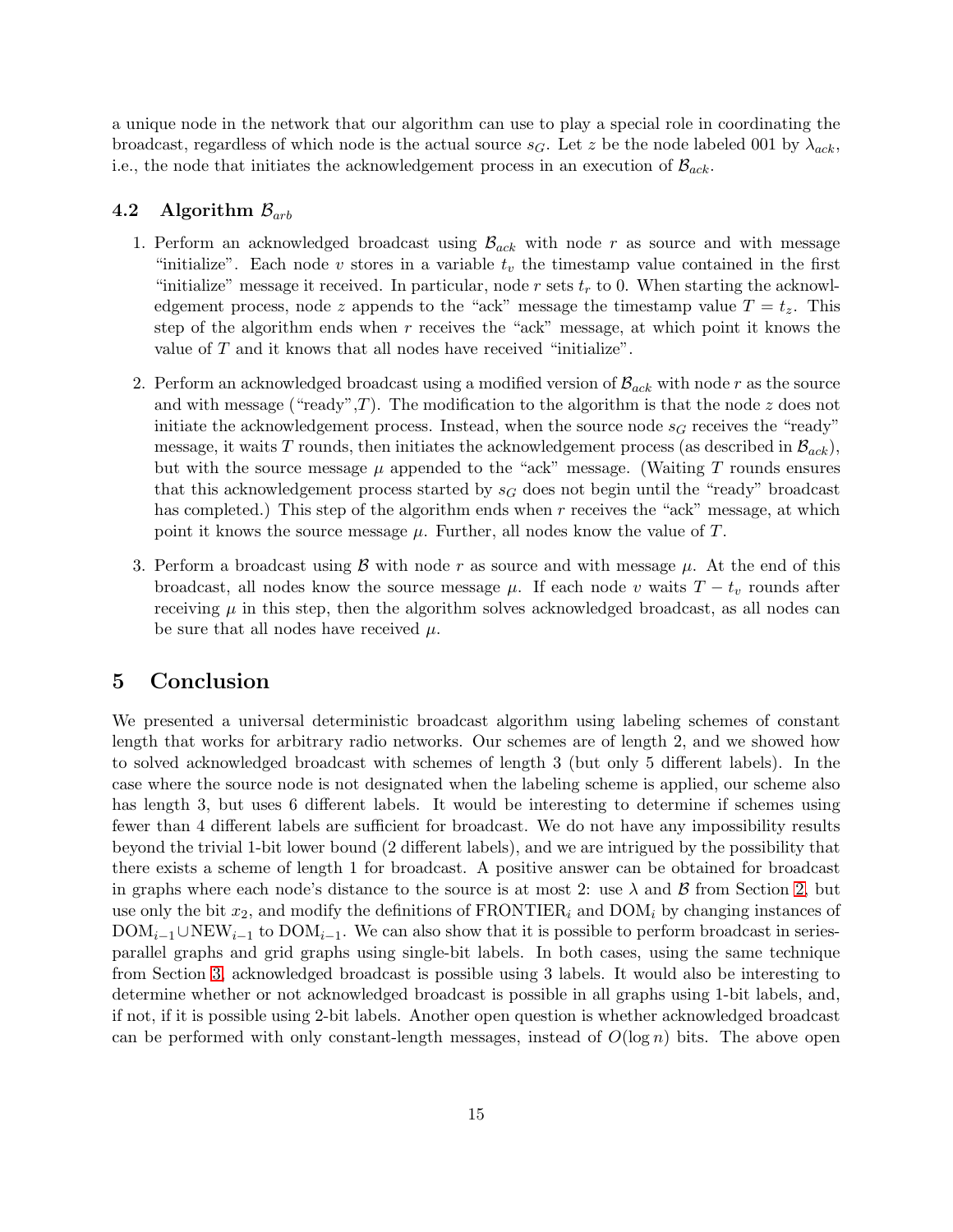a unique node in the network that our algorithm can use to play a special role in coordinating the broadcast, regardless of which node is the actual source  $s_G$ . Let z be the node labeled 001 by  $\lambda_{ack}$ , i.e., the node that initiates the acknowledgement process in an execution of  $B_{ack}$ .

### 4.2 Algorithm  $\mathcal{B}_{arb}$

- 1. Perform an acknowledged broadcast using  $\mathcal{B}_{ack}$  with node r as source and with message "initialize". Each node v stores in a variable  $t_v$  the timestamp value contained in the first "initialize" message it received. In particular, node r sets  $t_r$  to 0. When starting the acknowledgement process, node z appends to the "ack" message the timestamp value  $T = t<sub>z</sub>$ . This step of the algorithm ends when r receives the "ack" message, at which point it knows the value of T and it knows that all nodes have received "initialize".
- 2. Perform an acknowledged broadcast using a modified version of  $\mathcal{B}_{ack}$  with node r as the source and with message ("ready", T). The modification to the algorithm is that the node z does not initiate the acknowledgement process. Instead, when the source node  $s_G$  receives the "ready" message, it waits T rounds, then initiates the acknowledgement process (as described in  $\mathcal{B}_{ack}$ ), but with the source message  $\mu$  appended to the "ack" message. (Waiting T rounds ensures that this acknowledgement process started by  $s_G$  does not begin until the "ready" broadcast has completed.) This step of the algorithm ends when r receives the "ack" message, at which point it knows the source message  $\mu$ . Further, all nodes know the value of T.
- 3. Perform a broadcast using B with node r as source and with message  $\mu$ . At the end of this broadcast, all nodes know the source message  $\mu$ . If each node v waits  $T - t_v$  rounds after receiving  $\mu$  in this step, then the algorithm solves acknowledged broadcast, as all nodes can be sure that all nodes have received  $\mu$ .

### 5 Conclusion

We presented a universal deterministic broadcast algorithm using labeling schemes of constant length that works for arbitrary radio networks. Our schemes are of length 2, and we showed how to solved acknowledged broadcast with schemes of length 3 (but only 5 different labels). In the case where the source node is not designated when the labeling scheme is applied, our scheme also has length 3, but uses 6 different labels. It would be interesting to determine if schemes using fewer than 4 different labels are sufficient for broadcast. We do not have any impossibility results beyond the trivial 1-bit lower bound (2 different labels), and we are intrigued by the possibility that there exists a scheme of length 1 for broadcast. A positive answer can be obtained for broadcast in graphs where each node's distance to the source is at most 2: use  $\lambda$  and  $\beta$  from Section [2,](#page-4-1) but use only the bit  $x_2$ , and modify the definitions of FRONTIER<sub>i</sub> and DOM<sub>i</sub> by changing instances of  $\text{DOM}_{i-1} \cup \text{NEW}_{i-1}$  to  $\text{DOM}_{i-1}$ . We can also show that it is possible to perform broadcast in seriesparallel graphs and grid graphs using single-bit labels. In both cases, using the same technique from Section [3,](#page-9-0) acknowledged broadcast is possible using 3 labels. It would also be interesting to determine whether or not acknowledged broadcast is possible in all graphs using 1-bit labels, and, if not, if it is possible using 2-bit labels. Another open question is whether acknowledged broadcast can be performed with only constant-length messages, instead of  $O(\log n)$  bits. The above open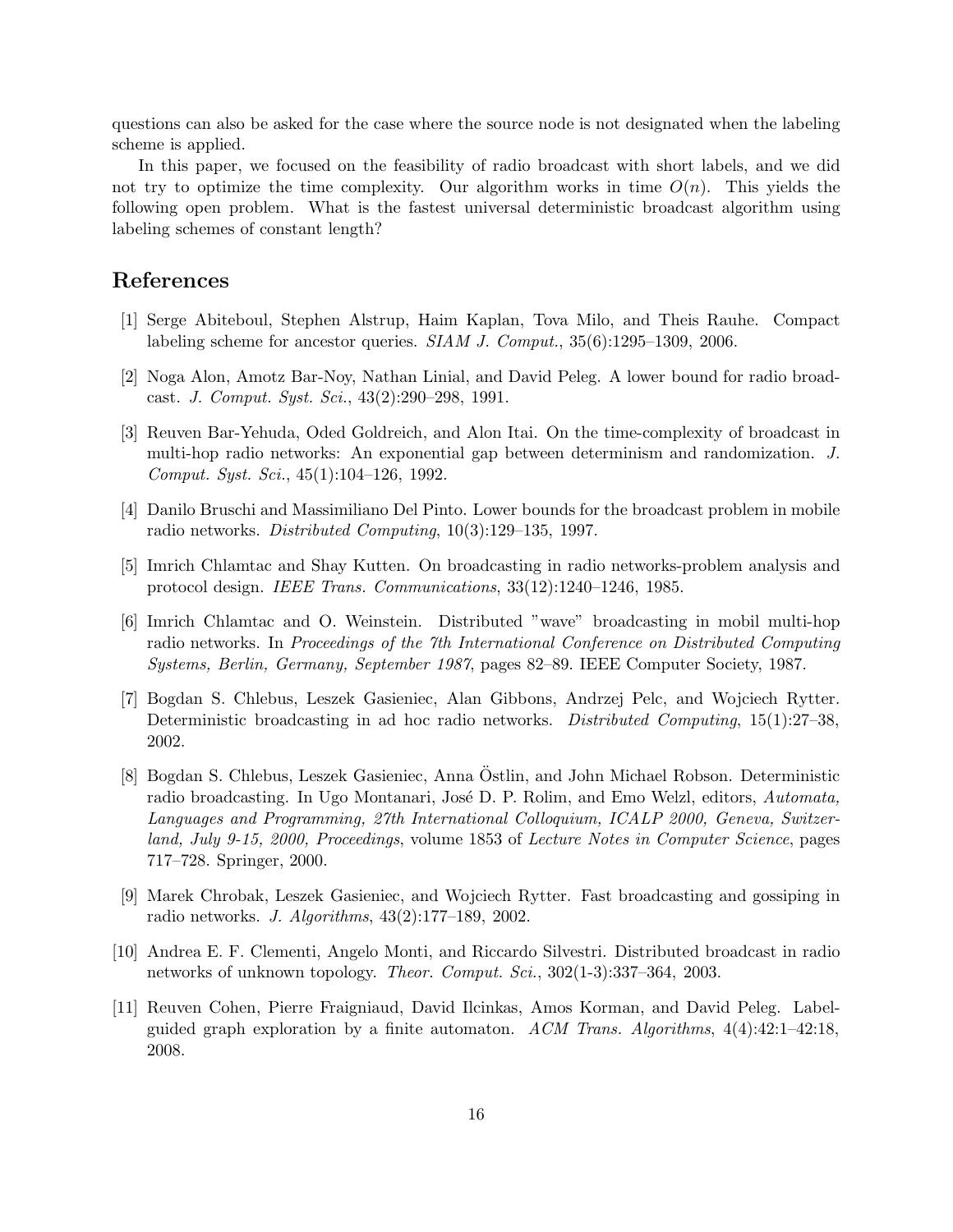questions can also be asked for the case where the source node is not designated when the labeling scheme is applied.

In this paper, we focused on the feasibility of radio broadcast with short labels, and we did not try to optimize the time complexity. Our algorithm works in time  $O(n)$ . This yields the following open problem. What is the fastest universal deterministic broadcast algorithm using labeling schemes of constant length?

## <span id="page-15-1"></span>References

- <span id="page-15-6"></span>[1] Serge Abiteboul, Stephen Alstrup, Haim Kaplan, Tova Milo, and Theis Rauhe. Compact labeling scheme for ancestor queries. *SIAM J. Comput.*, 35(6):1295–1309, 2006.
- <span id="page-15-7"></span>[2] Noga Alon, Amotz Bar-Noy, Nathan Linial, and David Peleg. A lower bound for radio broadcast. *J. Comput. Syst. Sci.*, 43(2):290–298, 1991.
- [3] Reuven Bar-Yehuda, Oded Goldreich, and Alon Itai. On the time-complexity of broadcast in multi-hop radio networks: An exponential gap between determinism and randomization. *J. Comput. Syst. Sci.*, 45(1):104–126, 1992.
- <span id="page-15-8"></span><span id="page-15-4"></span>[4] Danilo Bruschi and Massimiliano Del Pinto. Lower bounds for the broadcast problem in mobile radio networks. *Distributed Computing*, 10(3):129–135, 1997.
- [5] Imrich Chlamtac and Shay Kutten. On broadcasting in radio networks-problem analysis and protocol design. *IEEE Trans. Communications*, 33(12):1240–1246, 1985.
- <span id="page-15-5"></span>[6] Imrich Chlamtac and O. Weinstein. Distributed "wave" broadcasting in mobil multi-hop radio networks. In *Proceedings of the 7th International Conference on Distributed Computing Systems, Berlin, Germany, September 1987*, pages 82–89. IEEE Computer Society, 1987.
- <span id="page-15-0"></span>[7] Bogdan S. Chlebus, Leszek Gasieniec, Alan Gibbons, Andrzej Pelc, and Wojciech Rytter. Deterministic broadcasting in ad hoc radio networks. *Distributed Computing*, 15(1):27–38, 2002.
- [8] Bogdan S. Chlebus, Leszek Gasieniec, Anna Östlin, and John Michael Robson. Deterministic radio broadcasting. In Ugo Montanari, Jos´e D. P. Rolim, and Emo Welzl, editors, *Automata, Languages and Programming, 27th International Colloquium, ICALP 2000, Geneva, Switzerland, July 9-15, 2000, Proceedings*, volume 1853 of *Lecture Notes in Computer Science*, pages 717–728. Springer, 2000.
- <span id="page-15-3"></span>[9] Marek Chrobak, Leszek Gasieniec, and Wojciech Rytter. Fast broadcasting and gossiping in radio networks. *J. Algorithms*, 43(2):177–189, 2002.
- <span id="page-15-9"></span>[10] Andrea E. F. Clementi, Angelo Monti, and Riccardo Silvestri. Distributed broadcast in radio networks of unknown topology. *Theor. Comput. Sci.*, 302(1-3):337–364, 2003.
- <span id="page-15-2"></span>[11] Reuven Cohen, Pierre Fraigniaud, David Ilcinkas, Amos Korman, and David Peleg. Labelguided graph exploration by a finite automaton. *ACM Trans. Algorithms*, 4(4):42:1–42:18, 2008.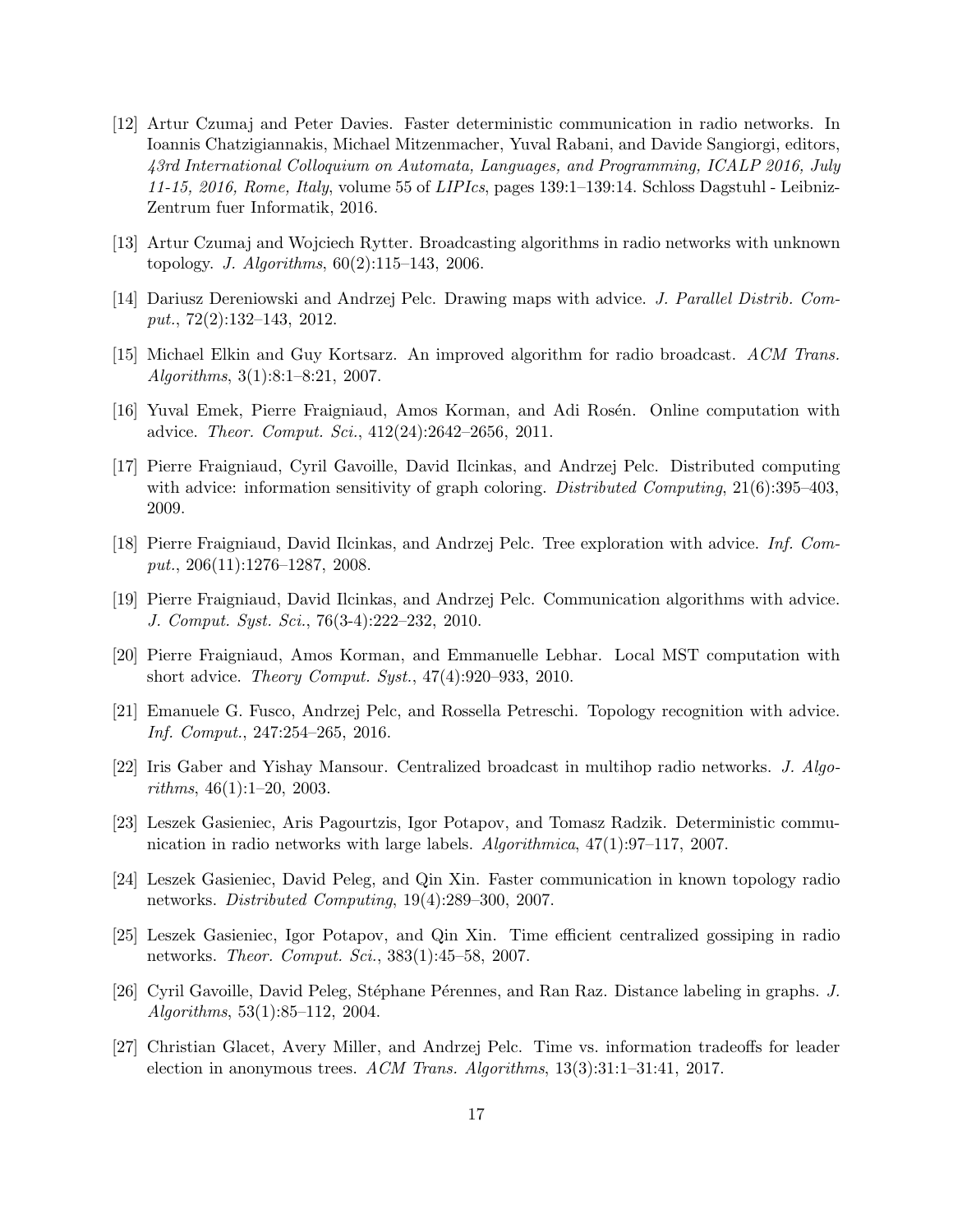- <span id="page-16-11"></span>[12] Artur Czumaj and Peter Davies. Faster deterministic communication in radio networks. In Ioannis Chatzigiannakis, Michael Mitzenmacher, Yuval Rabani, and Davide Sangiorgi, editors, *43rd International Colloquium on Automata, Languages, and Programming, ICALP 2016, July 11-15, 2016, Rome, Italy*, volume 55 of *LIPIcs*, pages 139:1–139:14. Schloss Dagstuhl - Leibniz-Zentrum fuer Informatik, 2016.
- <span id="page-16-12"></span><span id="page-16-0"></span>[13] Artur Czumaj and Wojciech Rytter. Broadcasting algorithms in radio networks with unknown topology. *J. Algorithms*, 60(2):115–143, 2006.
- <span id="page-16-8"></span>[14] Dariusz Dereniowski and Andrzej Pelc. Drawing maps with advice. *J. Parallel Distrib. Comput.*, 72(2):132–143, 2012.
- <span id="page-16-1"></span>[15] Michael Elkin and Guy Kortsarz. An improved algorithm for radio broadcast. *ACM Trans. Algorithms*, 3(1):8:1–8:21, 2007.
- [16] Yuval Emek, Pierre Fraigniaud, Amos Korman, and Adi Rosén. Online computation with advice. *Theor. Comput. Sci.*, 412(24):2642–2656, 2011.
- [17] Pierre Fraigniaud, Cyril Gavoille, David Ilcinkas, and Andrzej Pelc. Distributed computing with advice: information sensitivity of graph coloring. *Distributed Computing*, 21(6):395–403, 2009.
- [18] Pierre Fraigniaud, David Ilcinkas, and Andrzej Pelc. Tree exploration with advice. *Inf. Comput.*, 206(11):1276–1287, 2008.
- <span id="page-16-5"></span>[19] Pierre Fraigniaud, David Ilcinkas, and Andrzej Pelc. Communication algorithms with advice. *J. Comput. Syst. Sci.*, 76(3-4):222–232, 2010.
- <span id="page-16-2"></span>[20] Pierre Fraigniaud, Amos Korman, and Emmanuelle Lebhar. Local MST computation with short advice. *Theory Comput. Syst.*, 47(4):920–933, 2010.
- <span id="page-16-9"></span>[21] Emanuele G. Fusco, Andrzej Pelc, and Rossella Petreschi. Topology recognition with advice. *Inf. Comput.*, 247:254–265, 2016.
- [22] Iris Gaber and Yishay Mansour. Centralized broadcast in multihop radio networks. *J. Algorithms*, 46(1):1–20, 2003.
- <span id="page-16-7"></span>[23] Leszek Gasieniec, Aris Pagourtzis, Igor Potapov, and Tomasz Radzik. Deterministic communication in radio networks with large labels. *Algorithmica*, 47(1):97–117, 2007.
- <span id="page-16-6"></span>[24] Leszek Gasieniec, David Peleg, and Qin Xin. Faster communication in known topology radio networks. *Distributed Computing*, 19(4):289–300, 2007.
- <span id="page-16-10"></span>[25] Leszek Gasieniec, Igor Potapov, and Qin Xin. Time efficient centralized gossiping in radio networks. *Theor. Comput. Sci.*, 383(1):45–58, 2007.
- <span id="page-16-3"></span>[26] Cyril Gavoille, David Peleg, Stéphane Pérennes, and Ran Raz. Distance labeling in graphs. *J. Algorithms*, 53(1):85–112, 2004.
- <span id="page-16-4"></span>[27] Christian Glacet, Avery Miller, and Andrzej Pelc. Time vs. information tradeoffs for leader election in anonymous trees. *ACM Trans. Algorithms*, 13(3):31:1–31:41, 2017.